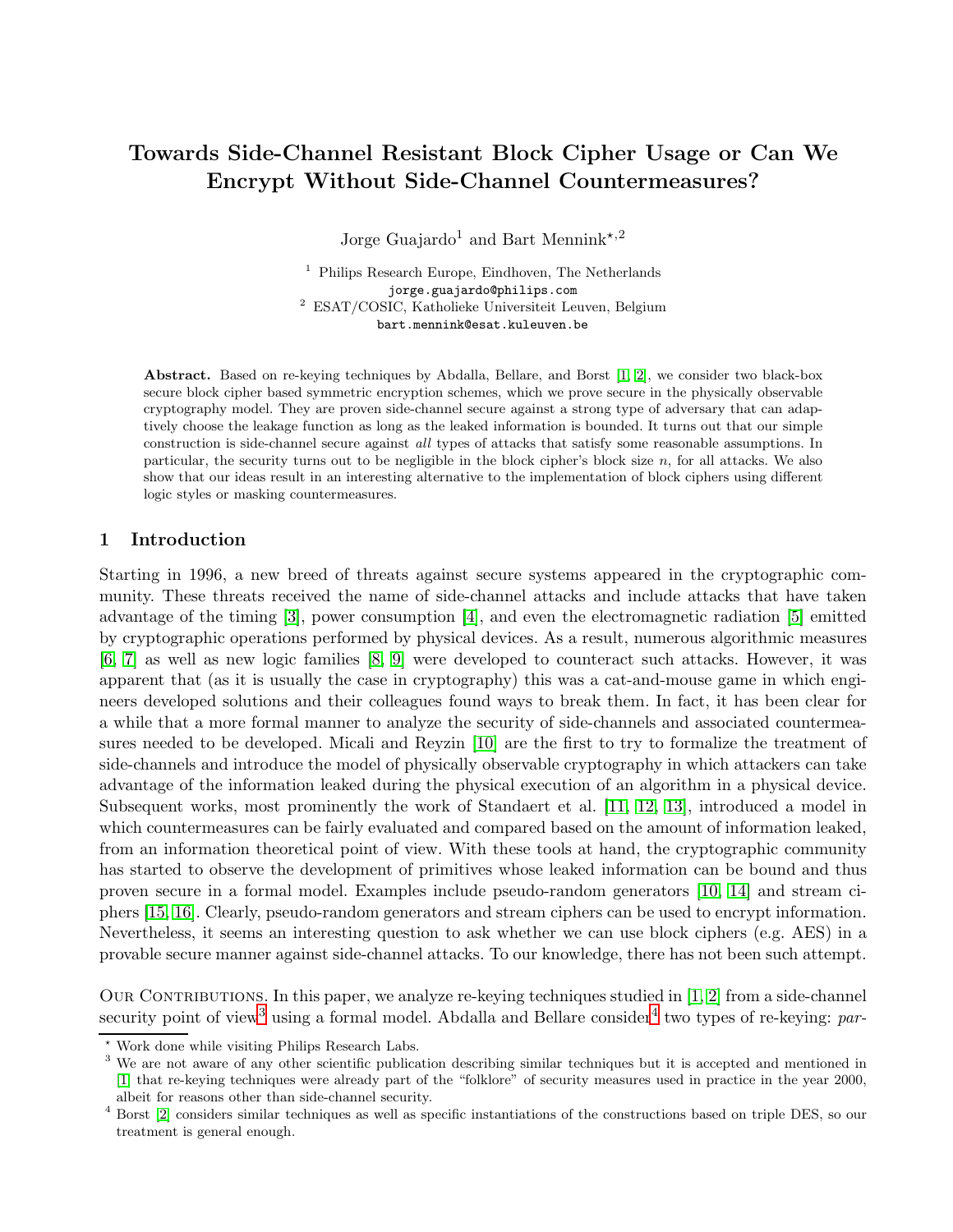# Towards Side-Channel Resistant Block Cipher Usage or Can We Encrypt Without Side-Channel Countermeasures?

Jorge Guajardo<sup>1</sup> and Bart Mennink<sup>\*,2</sup>

<sup>1</sup> Philips Research Europe, Eindhoven, The Netherlands jorge.guajardo@philips.com <sup>2</sup> ESAT/COSIC, Katholieke Universiteit Leuven, Belgium bart.mennink@esat.kuleuven.be

Abstract. Based on re-keying techniques by Abdalla, Bellare, and Borst [\[1,](#page-13-0) [2\]](#page-13-1), we consider two black-box secure block cipher based symmetric encryption schemes, which we prove secure in the physically observable cryptography model. They are proven side-channel secure against a strong type of adversary that can adaptively choose the leakage function as long as the leaked information is bounded. It turns out that our simple construction is side-channel secure against all types of attacks that satisfy some reasonable assumptions. In particular, the security turns out to be negligible in the block cipher's block size n, for all attacks. We also show that our ideas result in an interesting alternative to the implementation of block ciphers using different logic styles or masking countermeasures.

## 1 Introduction

Starting in 1996, a new breed of threats against secure systems appeared in the cryptographic community. These threats received the name of side-channel attacks and include attacks that have taken advantage of the timing [\[3\]](#page-13-2), power consumption [\[4\]](#page-13-3), and even the electromagnetic radiation [\[5\]](#page-13-4) emitted by cryptographic operations performed by physical devices. As a result, numerous algorithmic measures [\[6,](#page-13-5) [7\]](#page-13-6) as well as new logic families [\[8,](#page-13-7) [9\]](#page-13-8) were developed to counteract such attacks. However, it was apparent that (as it is usually the case in cryptography) this was a cat-and-mouse game in which engineers developed solutions and their colleagues found ways to break them. In fact, it has been clear for a while that a more formal manner to analyze the security of side-channels and associated countermeasures needed to be developed. Micali and Reyzin [\[10\]](#page-13-9) are the first to try to formalize the treatment of side-channels and introduce the model of physically observable cryptography in which attackers can take advantage of the information leaked during the physical execution of an algorithm in a physical device. Subsequent works, most prominently the work of Standaert et al. [\[11,](#page-13-10) [12,](#page-13-11) [13\]](#page-13-12), introduced a model in which countermeasures can be fairly evaluated and compared based on the amount of information leaked, from an information theoretical point of view. With these tools at hand, the cryptographic community has started to observe the development of primitives whose leaked information can be bound and thus proven secure in a formal model. Examples include pseudo-random generators [\[10,](#page-13-9) [14\]](#page-13-13) and stream ciphers [\[15,](#page-13-14) [16\]](#page-13-15). Clearly, pseudo-random generators and stream ciphers can be used to encrypt information. Nevertheless, it seems an interesting question to ask whether we can use block ciphers (e.g. AES) in a provable secure manner against side-channel attacks. To our knowledge, there has not been such attempt.

OUR CONTRIBUTIONS. In this paper, we analyze re-keying techniques studied in  $[1, 2]$  $[1, 2]$  from a side-channel security point of view<sup>[3](#page-0-0)</sup> using a formal model. Abdalla and Bellare consider<sup>[4](#page-0-1)</sup> two types of re-keying: *par*-

 $^{\star}$  Work done while visiting Philips Research Labs.

<span id="page-0-0"></span><sup>&</sup>lt;sup>3</sup> We are not aware of any other scientific publication describing similar techniques but it is accepted and mentioned in [\[1\]](#page-13-0) that re-keying techniques were already part of the "folklore" of security measures used in practice in the year 2000, albeit for reasons other than side-channel security.

<span id="page-0-1"></span><sup>4</sup> Borst [\[2\]](#page-13-1) considers similar techniques as well as specific instantiations of the constructions based on triple DES, so our treatment is general enough.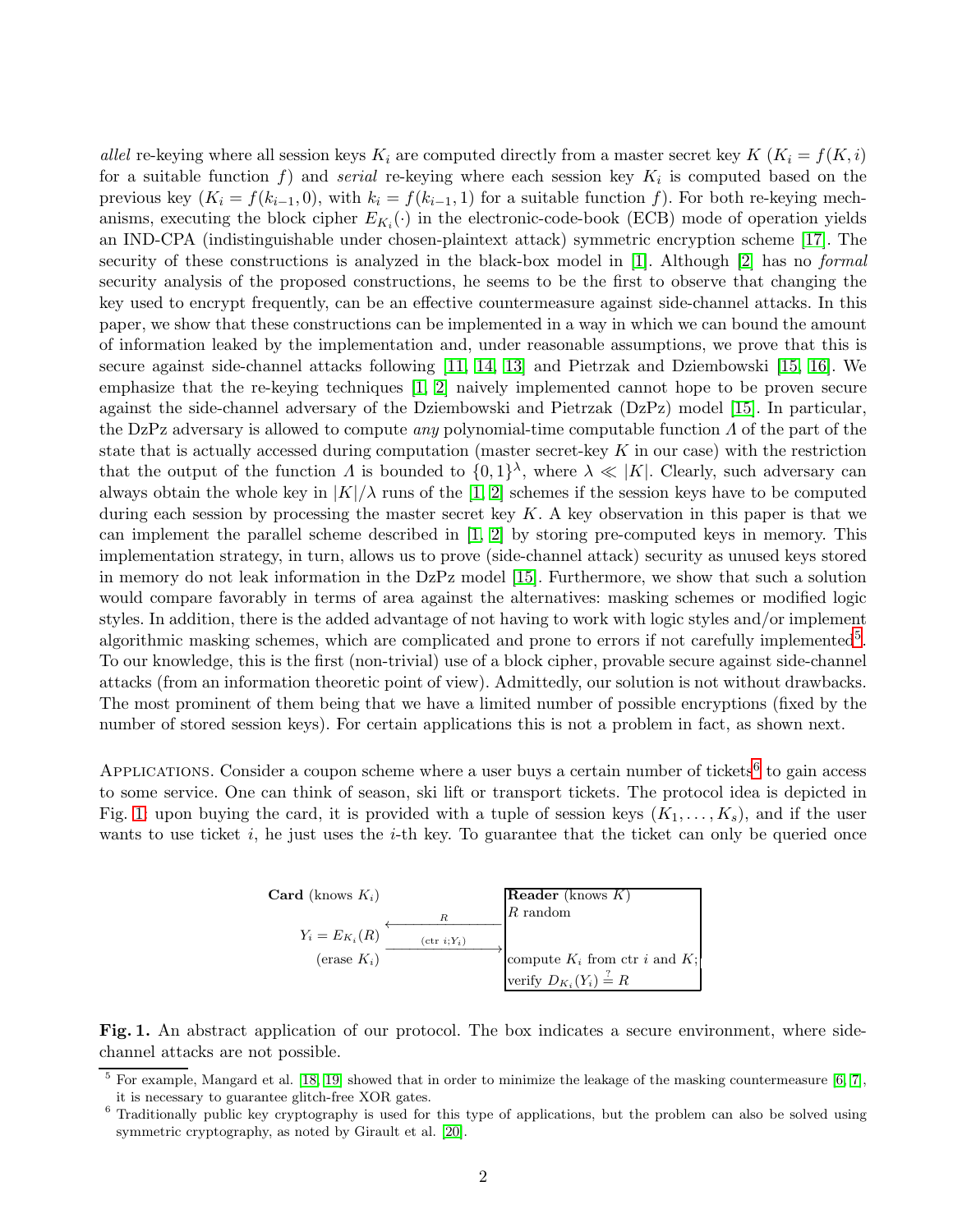*allel* re-keying where all session keys  $K_i$  are computed directly from a master secret key  $K$   $(K_i = f(K, i))$ for a suitable function  $f$ ) and *serial* re-keying where each session key  $K_i$  is computed based on the previous key  $(K_i = f(k_{i-1}, 0)$ , with  $k_i = f(k_{i-1}, 1)$  for a suitable function f). For both re-keying mechanisms, executing the block cipher  $E_{K_i}(\cdot)$  in the electronic-code-book (ECB) mode of operation yields an IND-CPA (indistinguishable under chosen-plaintext attack) symmetric encryption scheme [\[17\]](#page-13-16). The security of these constructions is analyzed in the black-box model in [\[1\]](#page-13-0). Although [\[2\]](#page-13-1) has no *formal* security analysis of the proposed constructions, he seems to be the first to observe that changing the key used to encrypt frequently, can be an effective countermeasure against side-channel attacks. In this paper, we show that these constructions can be implemented in a way in which we can bound the amount of information leaked by the implementation and, under reasonable assumptions, we prove that this is secure against side-channel attacks following [\[11,](#page-13-10) [14,](#page-13-13) [13\]](#page-13-12) and Pietrzak and Dziembowski [\[15,](#page-13-14) [16\]](#page-13-15). We emphasize that the re-keying techniques [\[1,](#page-13-0) [2\]](#page-13-1) naively implemented cannot hope to be proven secure against the side-channel adversary of the Dziembowski and Pietrzak (DzPz) model [\[15\]](#page-13-14). In particular, the DzPz adversary is allowed to compute *any* polynomial-time computable function Λ of the part of the state that is actually accessed during computation (master secret-key  $K$  in our case) with the restriction that the output of the function  $\Lambda$  is bounded to  $\{0,1\}^{\lambda}$ , where  $\lambda \ll |K|$ . Clearly, such adversary can always obtain the whole key in  $|K|/\lambda$  runs of the [\[1,](#page-13-0) [2\]](#page-13-1) schemes if the session keys have to be computed during each session by processing the master secret key  $K$ . A key observation in this paper is that we can implement the parallel scheme described in [\[1,](#page-13-0) [2\]](#page-13-1) by storing pre-computed keys in memory. This implementation strategy, in turn, allows us to prove (side-channel attack) security as unused keys stored in memory do not leak information in the DzPz model [\[15\]](#page-13-14). Furthermore, we show that such a solution would compare favorably in terms of area against the alternatives: masking schemes or modified logic styles. In addition, there is the added advantage of not having to work with logic styles and/or implement algorithmic masking schemes, which are complicated and prone to errors if not carefully implemented<sup>[5](#page-1-0)</sup>. To our knowledge, this is the first (non-trivial) use of a block cipher, provable secure against side-channel attacks (from an information theoretic point of view). Admittedly, our solution is not without drawbacks. The most prominent of them being that we have a limited number of possible encryptions (fixed by the number of stored session keys). For certain applications this is not a problem in fact, as shown next.

APPLICATIONS. Consider a coupon scheme where a user buys a certain number of tickets<sup>[6](#page-1-1)</sup> to gain access to some service. One can think of season, ski lift or transport tickets. The protocol idea is depicted in Fig. [1:](#page-1-2) upon buying the card, it is provided with a tuple of session keys  $(K_1, \ldots, K_s)$ , and if the user wants to use ticket i, he just uses the  $i$ -th key. To guarantee that the ticket can only be queried once

| <b>Card</b> (knows $K_i$ ) |                        | <b>Reader</b> (knows $K$ )              |
|----------------------------|------------------------|-----------------------------------------|
|                            | R                      | $R$ random                              |
| $Y_i = E_{K_i}(R)$         | $(\text{ctr } i; Y_i)$ |                                         |
| (erase $K_i$ )             |                        | compute $K_i$ from ctr i and $K_i$ ;    |
|                            |                        | verify $D_{K_i}(Y_i) \stackrel{?}{=} R$ |

<span id="page-1-2"></span>Fig. 1. An abstract application of our protocol. The box indicates a secure environment, where sidechannel attacks are not possible.

 $5$  For example, Mangard et al. [\[18,](#page-13-17) [19\]](#page-13-18) showed that in order to minimize the leakage of the masking countermeasure [\[6,](#page-13-5) [7\]](#page-13-6), it is necessary to guarantee glitch-free XOR gates.

<span id="page-1-1"></span><span id="page-1-0"></span><sup>&</sup>lt;sup>6</sup> Traditionally public key cryptography is used for this type of applications, but the problem can also be solved using symmetric cryptography, as noted by Girault et al. [\[20\]](#page-13-19).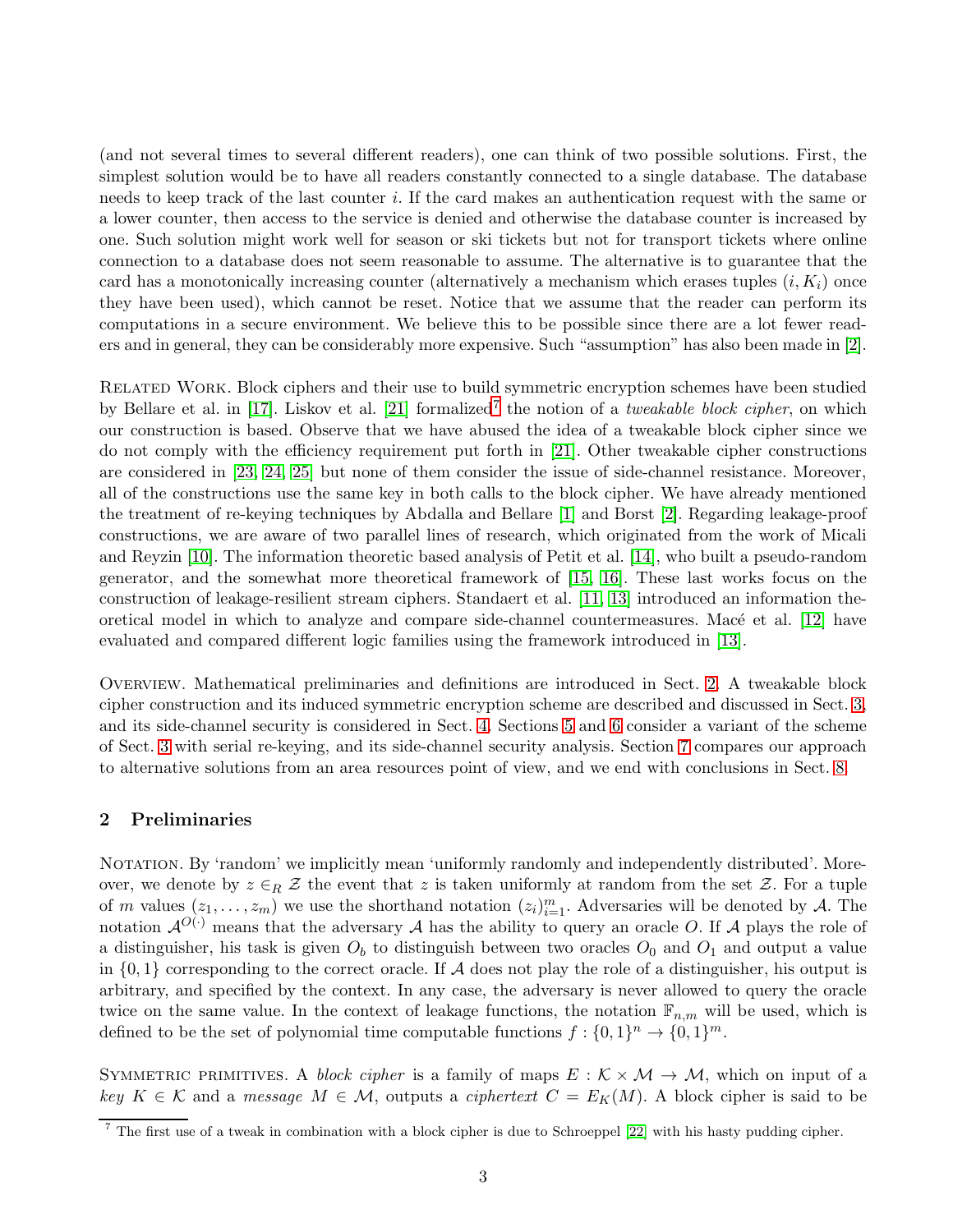(and not several times to several different readers), one can think of two possible solutions. First, the simplest solution would be to have all readers constantly connected to a single database. The database needs to keep track of the last counter i. If the card makes an authentication request with the same or a lower counter, then access to the service is denied and otherwise the database counter is increased by one. Such solution might work well for season or ski tickets but not for transport tickets where online connection to a database does not seem reasonable to assume. The alternative is to guarantee that the card has a monotonically increasing counter (alternatively a mechanism which erases tuples  $(i, K_i)$ ) once they have been used), which cannot be reset. Notice that we assume that the reader can perform its computations in a secure environment. We believe this to be possible since there are a lot fewer readers and in general, they can be considerably more expensive. Such "assumption" has also been made in [\[2\]](#page-13-1).

Related Work. Block ciphers and their use to build symmetric encryption schemes have been studied by Bellare et al. in [\[17\]](#page-13-16). Liskov et al. [\[21\]](#page-14-0) formalized<sup>[7](#page-2-0)</sup> the notion of a *tweakable block cipher*, on which our construction is based. Observe that we have abused the idea of a tweakable block cipher since we do not comply with the efficiency requirement put forth in [\[21\]](#page-14-0). Other tweakable cipher constructions are considered in [\[23,](#page-14-1) [24,](#page-14-2) [25\]](#page-14-3) but none of them consider the issue of side-channel resistance. Moreover, all of the constructions use the same key in both calls to the block cipher. We have already mentioned the treatment of re-keying techniques by Abdalla and Bellare [\[1\]](#page-13-0) and Borst [\[2\]](#page-13-1). Regarding leakage-proof constructions, we are aware of two parallel lines of research, which originated from the work of Micali and Reyzin [\[10\]](#page-13-9). The information theoretic based analysis of Petit et al. [\[14\]](#page-13-13), who built a pseudo-random generator, and the somewhat more theoretical framework of [\[15,](#page-13-14) [16\]](#page-13-15). These last works focus on the construction of leakage-resilient stream ciphers. Standaert et al. [\[11,](#page-13-10) [13\]](#page-13-12) introduced an information theoretical model in which to analyze and compare side-channel countermeasures. Mac $\acute{e}$  et al. [\[12\]](#page-13-11) have evaluated and compared different logic families using the framework introduced in [\[13\]](#page-13-12).

Overview. Mathematical preliminaries and definitions are introduced in Sect. [2.](#page-2-1) A tweakable block cipher construction and its induced symmetric encryption scheme are described and discussed in Sect. [3,](#page-3-0) and its side-channel security is considered in Sect. [4.](#page-4-0) Sections [5](#page-7-0) and [6](#page-8-0) consider a variant of the scheme of Sect. [3](#page-3-0) with serial re-keying, and its side-channel security analysis. Section [7](#page-10-0) compares our approach to alternative solutions from an area resources point of view, and we end with conclusions in Sect. [8.](#page-12-0)

## <span id="page-2-1"></span>2 Preliminaries

NOTATION. By 'random' we implicitly mean 'uniformly randomly and independently distributed'. Moreover, we denote by  $z \in_R \mathcal{Z}$  the event that z is taken uniformly at random from the set Z. For a tuple of m values  $(z_1,\ldots,z_m)$  we use the shorthand notation  $(z_i)_{i=1}^m$ . Adversaries will be denoted by A. The notation  $\mathcal{A}^{O(\cdot)}$  means that the adversary  $\mathcal A$  has the ability to query an oracle O. If  $\mathcal A$  plays the role of a distinguisher, his task is given  $O_b$  to distinguish between two oracles  $O_0$  and  $O_1$  and output a value in  $\{0, 1\}$  corresponding to the correct oracle. If A does not play the role of a distinguisher, his output is arbitrary, and specified by the context. In any case, the adversary is never allowed to query the oracle twice on the same value. In the context of leakage functions, the notation  $\mathbb{F}_{n,m}$  will be used, which is defined to be the set of polynomial time computable functions  $f: \{0,1\}^n \to \{0,1\}^m$ .

SYMMETRIC PRIMITIVES. A *block cipher* is a family of maps  $E : K \times M \rightarrow M$ , which on input of a  $key K \in \mathcal{K}$  and a *message*  $M \in \mathcal{M}$ , outputs a *ciphertext*  $C = E_K(M)$ . A block cipher is said to be

<span id="page-2-0"></span><sup>&</sup>lt;sup>7</sup> The first use of a tweak in combination with a block cipher is due to Schroeppel  $[22]$  with his hasty pudding cipher.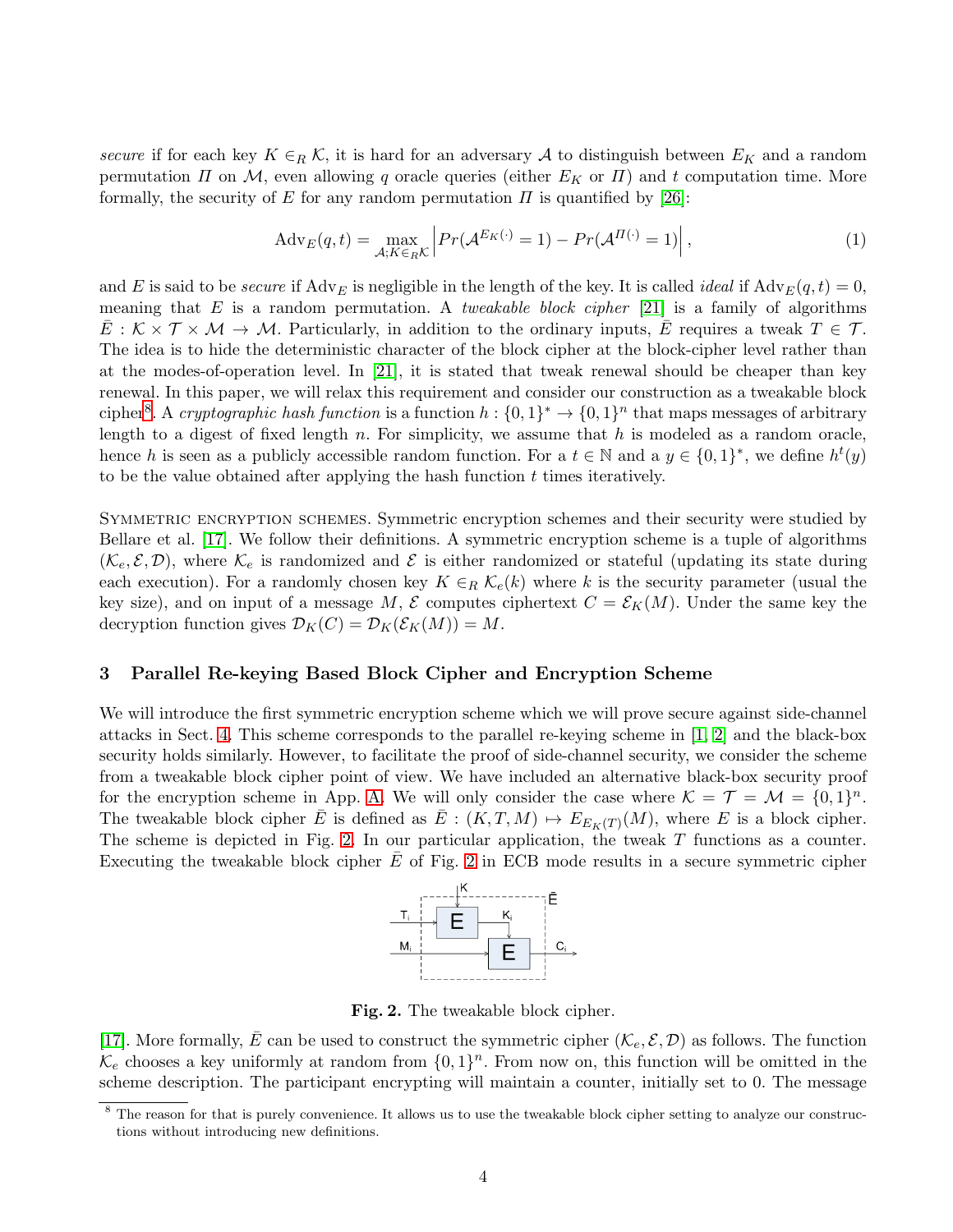*secure* if for each key  $K \in_R \mathcal{K}$ , it is hard for an adversary A to distinguish between  $E_K$  and a random permutation  $\Pi$  on  $\mathcal M$ , even allowing q oracle queries (either  $E_K$  or  $\Pi$ ) and t computation time. More formally, the security of E for any random permutation  $\Pi$  is quantified by [\[26\]](#page-14-5):

$$
Adv_E(q, t) = \max_{\mathcal{A}: K \in_R \mathcal{K}} \left| Pr(\mathcal{A}^{E_K(\cdot)} = 1) - Pr(\mathcal{A}^{H(\cdot)} = 1) \right|,
$$
\n(1)

and E is said to be *secure* if  $\text{Adv}_E$  is negligible in the length of the key. It is called *ideal* if  $\text{Adv}_E(q, t) = 0$ , meaning that E is a random permutation. A *tweakable block cipher* [\[21\]](#page-14-0) is a family of algorithms  $E: \mathcal{K} \times \mathcal{T} \times \mathcal{M} \to \mathcal{M}$ . Particularly, in addition to the ordinary inputs, E requires a tweak  $T \in \mathcal{T}$ . The idea is to hide the deterministic character of the block cipher at the block-cipher level rather than at the modes-of-operation level. In [\[21\]](#page-14-0), it is stated that tweak renewal should be cheaper than key renewal. In this paper, we will relax this requirement and consider our construction as a tweakable block cipher<sup>[8](#page-3-1)</sup>. A *cryptographic hash function* is a function  $h: \{0,1\}^* \to \{0,1\}^n$  that maps messages of arbitrary length to a digest of fixed length n. For simplicity, we assume that  $h$  is modeled as a random oracle, hence h is seen as a publicly accessible random function. For a  $t \in \mathbb{N}$  and a  $y \in \{0,1\}^*$ , we define  $h^t(y)$ to be the value obtained after applying the hash function  $t$  times iteratively.

SYMMETRIC ENCRYPTION SCHEMES. Symmetric encryption schemes and their security were studied by Bellare et al. [\[17\]](#page-13-16). We follow their definitions. A symmetric encryption scheme is a tuple of algorithms  $(\mathcal{K}_e, \mathcal{E}, \mathcal{D})$ , where  $\mathcal{K}_e$  is randomized and  $\mathcal E$  is either randomized or stateful (updating its state during each execution). For a randomly chosen key  $K \in_R \mathcal{K}_e(k)$  where k is the security parameter (usual the key size), and on input of a message M, E computes ciphertext  $C = \mathcal{E}_K(M)$ . Under the same key the decryption function gives  $\mathcal{D}_K(C) = \mathcal{D}_K(\mathcal{E}_K(M)) = M$ .

#### <span id="page-3-0"></span>3 Parallel Re-keying Based Block Cipher and Encryption Scheme

We will introduce the first symmetric encryption scheme which we will prove secure against side-channel attacks in Sect. [4.](#page-4-0) This scheme corresponds to the parallel re-keying scheme in [\[1,](#page-13-0) [2\]](#page-13-1) and the black-box security holds similarly. However, to facilitate the proof of side-channel security, we consider the scheme from a tweakable block cipher point of view. We have included an alternative black-box security proof for the encryption scheme in App. [A.](#page-14-6) We will only consider the case where  $\mathcal{K} = \mathcal{T} = \mathcal{M} = \{0, 1\}^n$ . The tweakable block cipher  $\overline{E}$  is defined as  $\overline{E}$  :  $(K, T, M) \mapsto E_{E_K(T)}(M)$ , where E is a block cipher. The scheme is depicted in Fig. [2.](#page-3-2) In our particular application, the tweak  $T$  functions as a counter. Executing the tweakable block cipher  $E$  of Fig. [2](#page-3-2) in ECB mode results in a secure symmetric cipher



<span id="page-3-2"></span>Fig. 2. The tweakable block cipher.

[\[17\]](#page-13-16). More formally,  $\bar{E}$  can be used to construct the symmetric cipher  $(\mathcal{K}_e, \mathcal{E}, \mathcal{D})$  as follows. The function  $\mathcal{K}_e$  chooses a key uniformly at random from  $\{0,1\}^n$ . From now on, this function will be omitted in the scheme description. The participant encrypting will maintain a counter, initially set to 0. The message

<span id="page-3-1"></span><sup>&</sup>lt;sup>8</sup> The reason for that is purely convenience. It allows us to use the tweakable block cipher setting to analyze our constructions without introducing new definitions.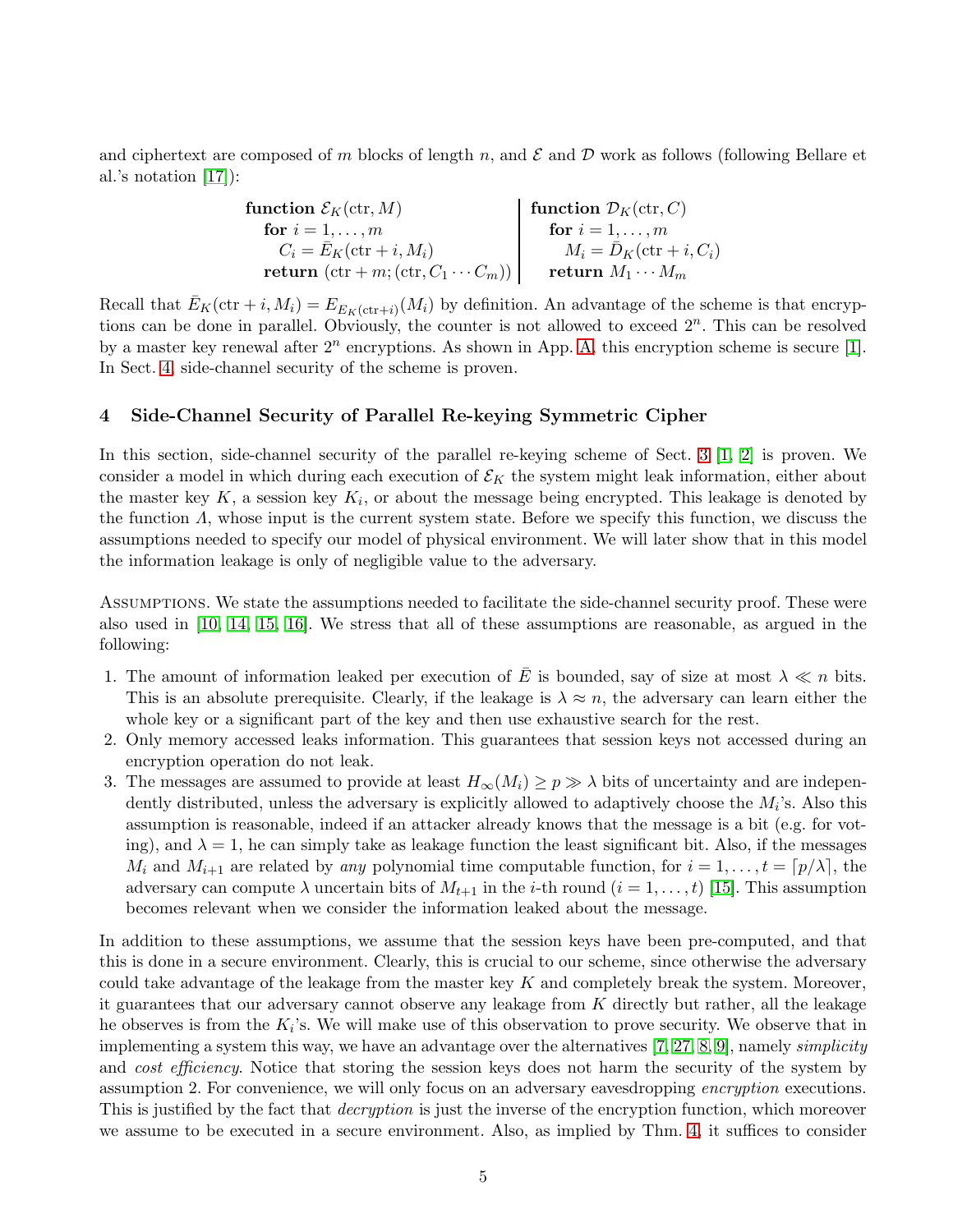and ciphertext are composed of m blocks of length n, and  $\mathcal E$  and  $\mathcal D$  work as follows (following Bellare et al.'s notation [\[17\]](#page-13-16)):

| function $\mathcal{E}_K(\text{ctr}, M)$                 | function $\mathcal{D}_K(\text{ctr}, C)$ |
|---------------------------------------------------------|-----------------------------------------|
| for $i=1,\ldots,m$                                      | for $i=1,\ldots,m$                      |
| $C_i = E_K(\text{ctr} + i, M_i)$                        | $M_i = \bar{D}_K(\text{ctr} + i, C_i)$  |
| return $(\text{ctr} + m; (\text{ctr}, C_1 \cdots C_m))$ | return $M_1 \cdots M_m$                 |

Recall that  $\bar{E}_K(\text{ctr } +i, M_i) = E_{E_K(\text{ctr } +i)}(M_i)$  by definition. An advantage of the scheme is that encryptions can be done in parallel. Obviously, the counter is not allowed to exceed  $2^n$ . This can be resolved by a master key renewal after  $2^n$  encryptions. As shown in App. [A,](#page-14-6) this encryption scheme is secure [\[1\]](#page-13-0). In Sect. [4,](#page-4-0) side-channel security of the scheme is proven.

## <span id="page-4-0"></span>4 Side-Channel Security of Parallel Re-keying Symmetric Cipher

In this section, side-channel security of the parallel re-keying scheme of Sect. [3](#page-3-0) [\[1,](#page-13-0) [2\]](#page-13-1) is proven. We consider a model in which during each execution of  $\mathcal{E}_K$  the system might leak information, either about the master key  $K$ , a session key  $K_i$ , or about the message being encrypted. This leakage is denoted by the function  $\Lambda$ , whose input is the current system state. Before we specify this function, we discuss the assumptions needed to specify our model of physical environment. We will later show that in this model the information leakage is only of negligible value to the adversary.

Assumptions. We state the assumptions needed to facilitate the side-channel security proof. These were also used in [\[10,](#page-13-9) [14,](#page-13-13) [15,](#page-13-14) [16\]](#page-13-15). We stress that all of these assumptions are reasonable, as argued in the following:

- 1. The amount of information leaked per execution of  $\overline{E}$  is bounded, say of size at most  $\lambda \ll n$  bits. This is an absolute prerequisite. Clearly, if the leakage is  $\lambda \approx n$ , the adversary can learn either the whole key or a significant part of the key and then use exhaustive search for the rest.
- 2. Only memory accessed leaks information. This guarantees that session keys not accessed during an encryption operation do not leak.
- 3. The messages are assumed to provide at least  $H_{\infty}(M_i) \geq p \gg \lambda$  bits of uncertainty and are independently distributed, unless the adversary is explicitly allowed to adaptively choose the  $M_i$ 's. Also this assumption is reasonable, indeed if an attacker already knows that the message is a bit (e.g. for voting), and  $\lambda = 1$ , he can simply take as leakage function the least significant bit. Also, if the messages  $M_i$  and  $M_{i+1}$  are related by *any* polynomial time computable function, for  $i = 1, \ldots, t = \lceil p/\lambda \rceil$ , the adversary can compute  $\lambda$  uncertain bits of  $M_{t+1}$  in the *i*-th round  $(i = 1, \ldots, t)$  [\[15\]](#page-13-14). This assumption becomes relevant when we consider the information leaked about the message.

In addition to these assumptions, we assume that the session keys have been pre-computed, and that this is done in a secure environment. Clearly, this is crucial to our scheme, since otherwise the adversary could take advantage of the leakage from the master key  $K$  and completely break the system. Moreover, it guarantees that our adversary cannot observe any leakage from  $K$  directly but rather, all the leakage he observes is from the  $K_i$ 's. We will make use of this observation to prove security. We observe that in implementing a system this way, we have an advantage over the alternatives [\[7,](#page-13-6) [27,](#page-14-7) [8,](#page-13-7) [9\]](#page-13-8), namely *simplicity* and *cost efficiency*. Notice that storing the session keys does not harm the security of the system by assumption 2. For convenience, we will only focus on an adversary eavesdropping *encryption* executions. This is justified by the fact that *decryption* is just the inverse of the encryption function, which moreover we assume to be executed in a secure environment. Also, as implied by Thm. [4,](#page-16-0) it suffices to consider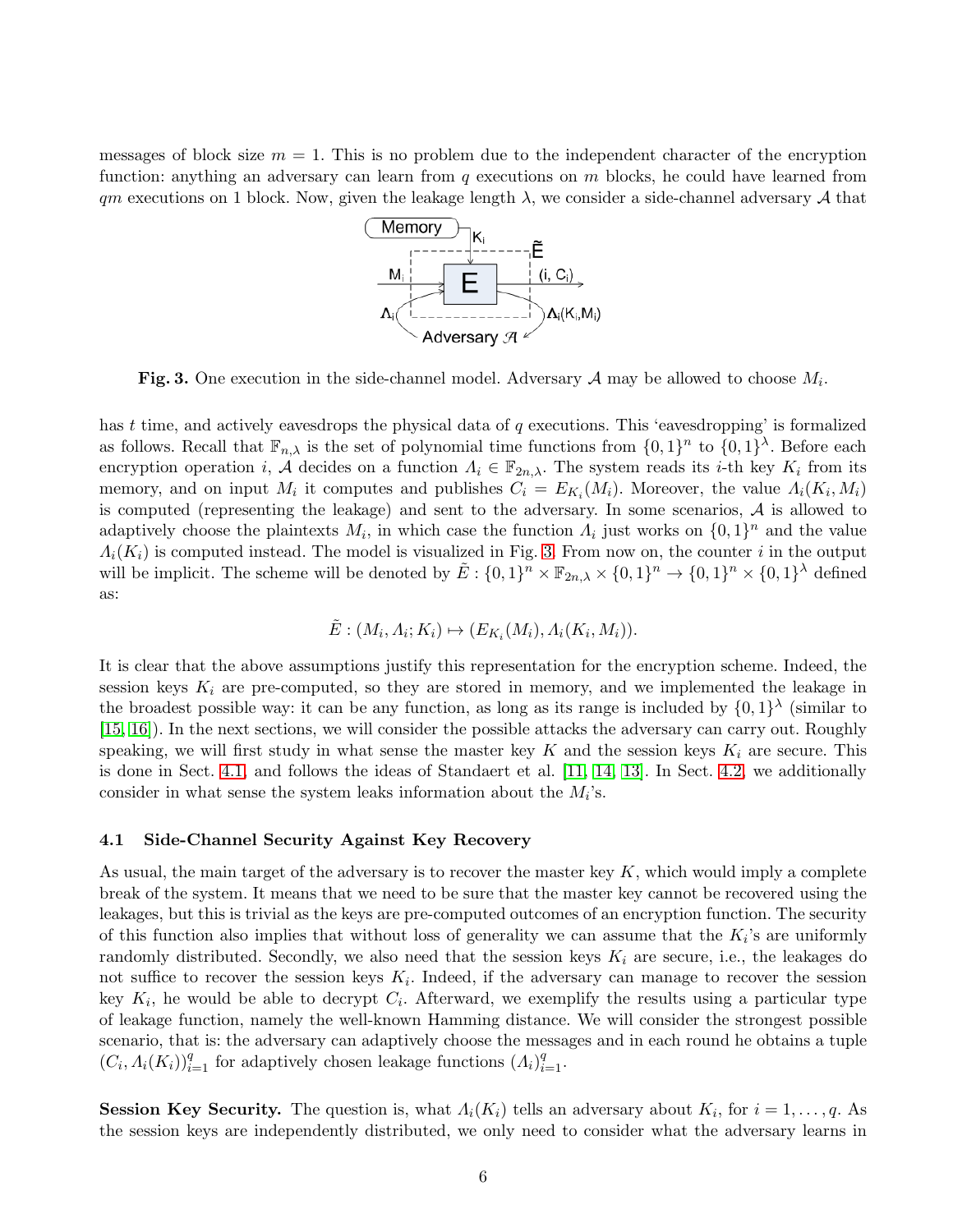messages of block size  $m = 1$ . This is no problem due to the independent character of the encryption function: anything an adversary can learn from  $q$  executions on  $m$  blocks, he could have learned from  $qm$  executions on 1 block. Now, given the leakage length  $\lambda$ , we consider a side-channel adversary  $\mathcal A$  that



<span id="page-5-0"></span>Fig. 3. One execution in the side-channel model. Adversary  $A$  may be allowed to choose  $M_i$ .

has t time, and actively eavesdrops the physical data of q executions. This 'eavesdropping' is formalized as follows. Recall that  $\mathbb{F}_{n,\lambda}$  is the set of polynomial time functions from  $\{0,1\}^n$  to  $\{0,1\}^{\lambda}$ . Before each encryption operation *i*,  $\mathcal{A}$  decides on a function  $\Lambda_i \in \mathbb{F}_{2n,\lambda}$ . The system reads its *i*-th key  $K_i$  from its memory, and on input  $M_i$  it computes and publishes  $C_i = E_{K_i}(M_i)$ . Moreover, the value  $\Lambda_i(K_i, M_i)$ is computed (representing the leakage) and sent to the adversary. In some scenarios,  $A$  is allowed to adaptively choose the plaintexts  $M_i$ , in which case the function  $\Lambda_i$  just works on  $\{0,1\}^n$  and the value  $\Lambda_i(K_i)$  is computed instead. The model is visualized in Fig. [3.](#page-5-0) From now on, the counter i in the output will be implicit. The scheme will be denoted by  $\tilde{E}: \{0,1\}^n \times \mathbb{F}_{2n,\lambda} \times \{0,1\}^n \to \{0,1\}^n \times \{0,1\}^{\lambda}$  defined as:

$$
\tilde{E} : (M_i, A_i; K_i) \mapsto (E_{K_i}(M_i), A_i(K_i, M_i)).
$$

It is clear that the above assumptions justify this representation for the encryption scheme. Indeed, the session keys  $K_i$  are pre-computed, so they are stored in memory, and we implemented the leakage in the broadest possible way: it can be any function, as long as its range is included by  $\{0,1\}^{\lambda}$  (similar to [\[15,](#page-13-14) [16\]](#page-13-15)). In the next sections, we will consider the possible attacks the adversary can carry out. Roughly speaking, we will first study in what sense the master key K and the session keys  $K_i$  are secure. This is done in Sect. [4.1,](#page-5-1) and follows the ideas of Standaert et al. [\[11,](#page-13-10) [14,](#page-13-13) [13\]](#page-13-12). In Sect. [4.2,](#page-7-1) we additionally consider in what sense the system leaks information about the  $M_i$ 's.

#### <span id="page-5-1"></span>4.1 Side-Channel Security Against Key Recovery

As usual, the main target of the adversary is to recover the master key  $K$ , which would imply a complete break of the system. It means that we need to be sure that the master key cannot be recovered using the leakages, but this is trivial as the keys are pre-computed outcomes of an encryption function. The security of this function also implies that without loss of generality we can assume that the  $K_i$ 's are uniformly randomly distributed. Secondly, we also need that the session keys  $K_i$  are secure, i.e., the leakages do not suffice to recover the session keys  $K_i$ . Indeed, if the adversary can manage to recover the session key  $K_i$ , he would be able to decrypt  $C_i$ . Afterward, we exemplify the results using a particular type of leakage function, namely the well-known Hamming distance. We will consider the strongest possible scenario, that is: the adversary can adaptively choose the messages and in each round he obtains a tuple  $(C_i, \Lambda_i(K_i))_{i=1}^q$  for adaptively chosen leakage functions  $(\Lambda_i)_{i=1}^q$ .

**Session Key Security.** The question is, what  $\Lambda_i(K_i)$  tells an adversary about  $K_i$ , for  $i = 1, \ldots, q$ . As the session keys are independently distributed, we only need to consider what the adversary learns in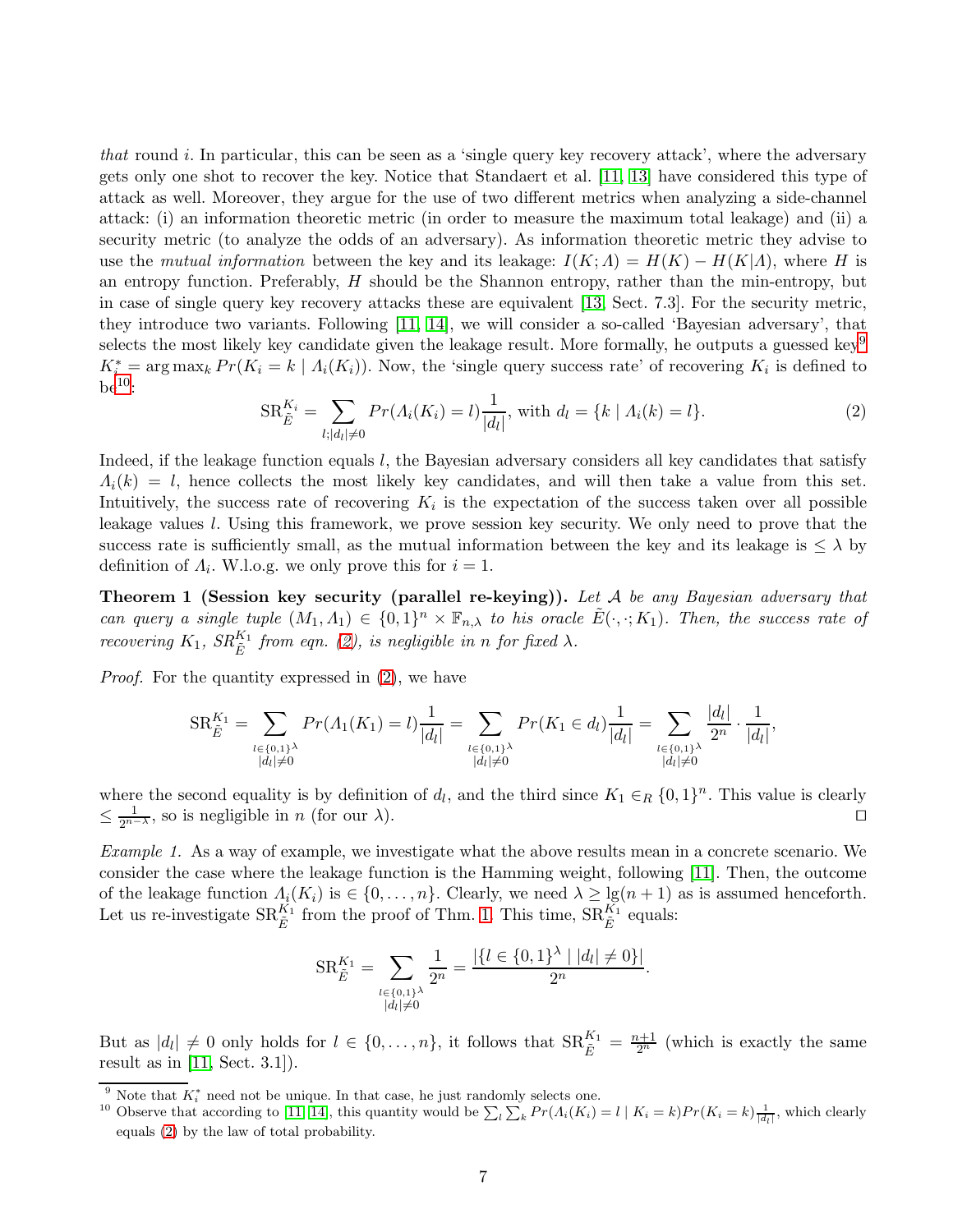*that* round *i*. In particular, this can be seen as a 'single query key recovery attack', where the adversary gets only one shot to recover the key. Notice that Standaert et al. [\[11,](#page-13-10) [13\]](#page-13-12) have considered this type of attack as well. Moreover, they argue for the use of two different metrics when analyzing a side-channel attack: (i) an information theoretic metric (in order to measure the maximum total leakage) and (ii) a security metric (to analyze the odds of an adversary). As information theoretic metric they advise to use the *mutual information* between the key and its leakage:  $I(K; \Lambda) = H(K) - H(K|\Lambda)$ , where H is an entropy function. Preferably,  $H$  should be the Shannon entropy, rather than the min-entropy, but in case of single query key recovery attacks these are equivalent [\[13,](#page-13-12) Sect. 7.3]. For the security metric, they introduce two variants. Following [\[11,](#page-13-10) [14\]](#page-13-13), we will consider a so-called 'Bayesian adversary', that selects the most likely key candidate given the leakage result. More formally, he outputs a guessed key<sup>[9](#page-6-0)</sup>  $K_i^* = \arg \max_k Pr(K_i = k \mid \Lambda_i(K_i))$ . Now, the 'single query success rate' of recovering  $K_i$  is defined to  $\rm{be^{10}:}$  $\rm{be^{10}:}$  $\rm{be^{10}:}$ 

<span id="page-6-3"></span><span id="page-6-2"></span>
$$
SR_{\tilde{E}}^{K_i} = \sum_{l; |d_l| \neq 0} Pr(\Lambda_i(K_i) = l) \frac{1}{|d_l|}, \text{ with } d_l = \{k \mid \Lambda_i(k) = l\}.
$$
 (2)

Indeed, if the leakage function equals  $l$ , the Bayesian adversary considers all key candidates that satisfy  $\Lambda_i(k) = l$ , hence collects the most likely key candidates, and will then take a value from this set. Intuitively, the success rate of recovering  $K_i$  is the expectation of the success taken over all possible leakage values l. Using this framework, we prove session key security. We only need to prove that the success rate is sufficiently small, as the mutual information between the key and its leakage is  $\leq \lambda$  by definition of  $\Lambda_i$ . W.l.o.g. we only prove this for  $i = 1$ .

Theorem 1 (Session key security (parallel re-keying)). *Let* A *be any Bayesian adversary that can query a single tuple*  $(M_1, A_1) \in \{0, 1\}^n \times \mathbb{F}_{n, \lambda}$  *to his oracle*  $\tilde{E}(\cdot, \cdot; K_1)$ *. Then, the success rate of recovering*  $K_1$ *,*  $SR_E^{K_1}$  *from eqn.* [\(2\)](#page-6-2)*, is negligible in n for fixed*  $\lambda$ *.* 

*Proof.* For the quantity expressed in  $(2)$ , we have

$$
SR_{\tilde{E}}^{K_1} = \sum_{\substack{l \in \{0,1\}^\lambda \\ |d_l| \neq 0}} Pr(A_1(K_1) = l) \frac{1}{|d_l|} = \sum_{\substack{l \in \{0,1\}^\lambda \\ |d_l| \neq 0}} Pr(K_1 \in d_l) \frac{1}{|d_l|} = \sum_{\substack{l \in \{0,1\}^\lambda \\ |d_l| \neq 0}} \frac{|d_l|}{2^n} \cdot \frac{1}{|d_l|},
$$

where the second equality is by definition of  $d_l$ , and the third since  $K_1 \in_R \{0,1\}^n$ . This value is clearly  $\leq \frac{1}{2^{n-\lambda}}$ , so is negligible in *n* (for our  $\lambda$ ). □

*Example 1.* As a way of example, we investigate what the above results mean in a concrete scenario. We consider the case where the leakage function is the Hamming weight, following [\[11\]](#page-13-10). Then, the outcome of the leakage function  $\Lambda_i(K_i)$  is  $\in \{0, \ldots, n\}$ . Clearly, we need  $\lambda \geq \lg(n+1)$  as is assumed henceforth. Let us re-investigate  $\text{SR}_{\tilde{E}}^{K_1}$  from the proof of Thm. [1.](#page-6-3) This time,  $\text{SR}_{\tilde{E}}^{K_1}$  equals:

$$
SR_{\tilde{E}}^{K_1} = \sum_{\substack{l \in \{0,1\}^\lambda \\ |d_l| \neq 0}} \frac{1}{2^n} = \frac{|\{l \in \{0,1\}^\lambda \mid |d_l| \neq 0\}|}{2^n}.
$$

But as  $|d_l| \neq 0$  only holds for  $l \in \{0, \ldots, n\}$ , it follows that  $\text{SR}_{\tilde{E}}^{K_1} = \frac{n+1}{2^n}$  (which is exactly the same result as in  $[11, Sect. 3.1]).$ 

<sup>&</sup>lt;sup>9</sup> Note that  $K_i^*$  need not be unique. In that case, he just randomly selects one.

<span id="page-6-1"></span><span id="page-6-0"></span><sup>&</sup>lt;sup>10</sup> Observe that according to [\[11,](#page-13-10) [14\]](#page-13-13), this quantity would be  $\sum_l \sum_k Pr(A_l(K_i) = l \mid K_i = k) Pr(K_i = k) \frac{1}{|d_l|}$ , which clearly equals [\(2\)](#page-6-2) by the law of total probability.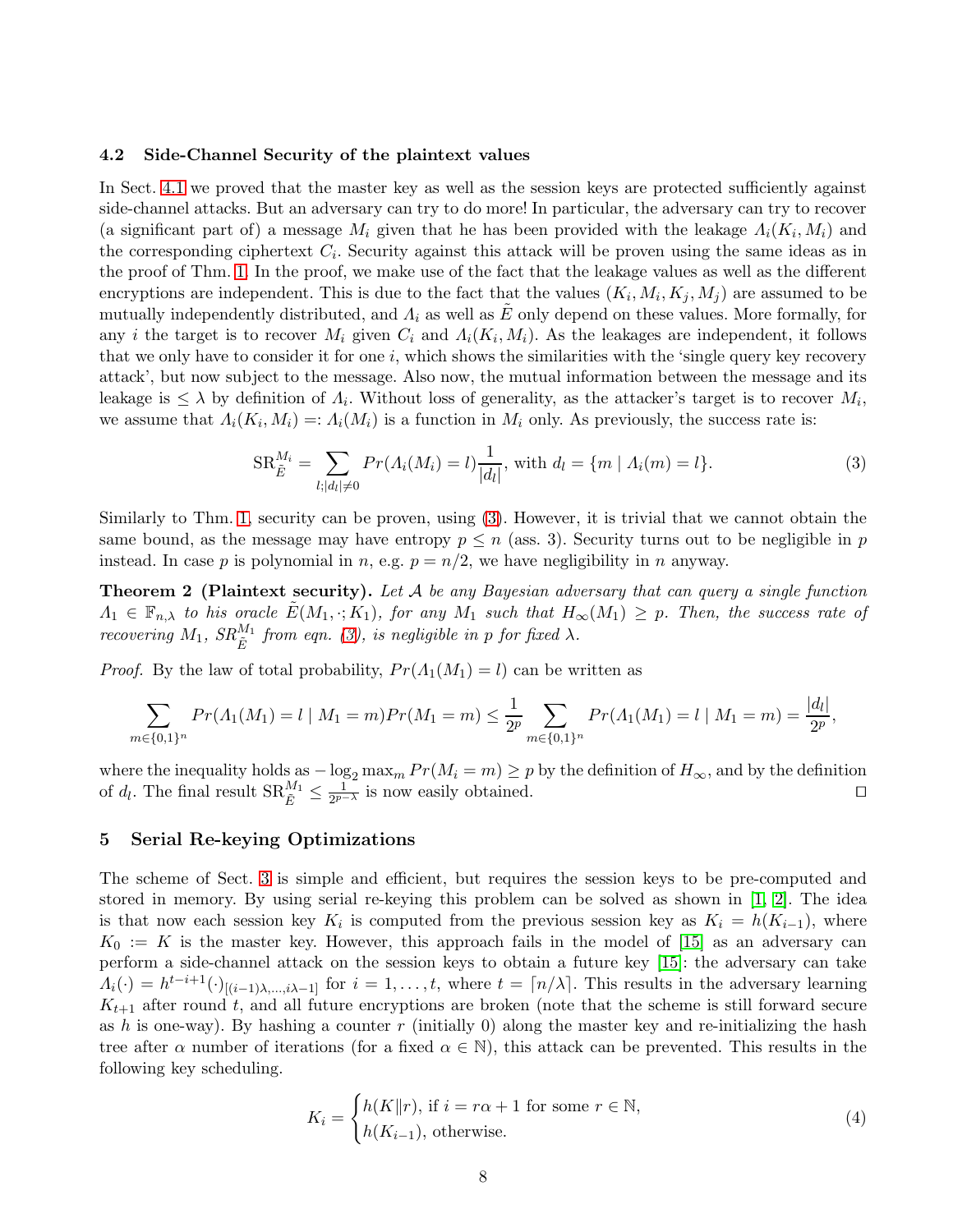#### <span id="page-7-1"></span>4.2 Side-Channel Security of the plaintext values

In Sect. [4.1](#page-5-1) we proved that the master key as well as the session keys are protected sufficiently against side-channel attacks. But an adversary can try to do more! In particular, the adversary can try to recover (a significant part of) a message  $M_i$  given that he has been provided with the leakage  $\Lambda_i(K_i, M_i)$  and the corresponding ciphertext  $C_i$ . Security against this attack will be proven using the same ideas as in the proof of Thm. [1.](#page-6-3) In the proof, we make use of the fact that the leakage values as well as the different encryptions are independent. This is due to the fact that the values  $(K_i, M_i, K_j, M_j)$  are assumed to be mutually independently distributed, and  $\Lambda_i$  as well as E only depend on these values. More formally, for any *i* the target is to recover  $M_i$  given  $C_i$  and  $\Lambda_i(K_i, M_i)$ . As the leakages are independent, it follows that we only have to consider it for one  $i$ , which shows the similarities with the 'single query key recovery attack', but now subject to the message. Also now, the mutual information between the message and its leakage is  $\leq \lambda$  by definition of  $\Lambda_i$ . Without loss of generality, as the attacker's target is to recover  $M_i$ , we assume that  $A_i(K_i, M_i) =: A_i(M_i)$  is a function in  $M_i$  only. As previously, the success rate is:

<span id="page-7-2"></span>
$$
SR_{\tilde{E}}^{M_i} = \sum_{l; |d_l| \neq 0} Pr(\Lambda_i(M_i) = l) \frac{1}{|d_l|}, \text{ with } d_l = \{m \mid \Lambda_i(m) = l\}.
$$
 (3)

Similarly to Thm. [1,](#page-6-3) security can be proven, using [\(3\)](#page-7-2). However, it is trivial that we cannot obtain the same bound, as the message may have entropy  $p \leq n$  (ass. 3). Security turns out to be negligible in p instead. In case p is polynomial in n, e.g.  $p = n/2$ , we have negligibility in n anyway.

Theorem 2 (Plaintext security). *Let* A *be any Bayesian adversary that can query a single function*  $\Lambda_1 \in \mathbb{F}_{n,\lambda}$  *to his oracle*  $E(M_1, \cdot; K_1)$ *, for any*  $M_1$  *such that*  $H_\infty(M_1) \geq p$ *. Then, the success rate of recovering*  $M_1$ *,*  $SR_{\tilde{E}}^{M_1}$  *from eqn.* [\(3\)](#page-7-2)*, is negligible in p for fixed*  $\lambda$ *.* 

*Proof.* By the law of total probability,  $Pr(A_1(M_1) = l)$  can be written as

$$
\sum_{m \in \{0,1\}^n} Pr(A_1(M_1) = l \mid M_1 = m) Pr(M_1 = m) \le \frac{1}{2^p} \sum_{m \in \{0,1\}^n} Pr(A_1(M_1) = l \mid M_1 = m) = \frac{|d_l|}{2^p},
$$

where the inequality holds as  $-\log_2 \max_m Pr(M_i = m) \geq p$  by the definition of  $H_{\infty}$ , and by the definition of  $d_l$ . The final result  $\text{SR}_{\tilde{E}}^{M_1} \leq \frac{1}{2^{p-1}}$  $\frac{1}{2p-\lambda}$  is now easily obtained. □

## <span id="page-7-0"></span>5 Serial Re-keying Optimizations

The scheme of Sect. [3](#page-3-0) is simple and efficient, but requires the session keys to be pre-computed and stored in memory. By using serial re-keying this problem can be solved as shown in [\[1,](#page-13-0) [2\]](#page-13-1). The idea is that now each session key  $K_i$  is computed from the previous session key as  $K_i = h(K_{i-1})$ , where  $K_0 := K$  is the master key. However, this approach fails in the model of [\[15\]](#page-13-14) as an adversary can perform a side-channel attack on the session keys to obtain a future key [\[15\]](#page-13-14): the adversary can take  $\Lambda_i(\cdot) = h^{t-i+1}(\cdot)_{[(i-1)\lambda,\dots,i\lambda-1]}$  for  $i = 1,\dots,t$ , where  $t = \lceil n/\lambda \rceil$ . This results in the adversary learning  $K_{t+1}$  after round t, and all future encryptions are broken (note that the scheme is still forward secure as h is one-way). By hashing a counter  $r$  (initially 0) along the master key and re-initializing the hash tree after  $\alpha$  number of iterations (for a fixed  $\alpha \in \mathbb{N}$ ), this attack can be prevented. This results in the following key scheduling.

$$
K_i = \begin{cases} h(K||r), \text{ if } i = r\alpha + 1 \text{ for some } r \in \mathbb{N}, \\ h(K_{i-1}), \text{ otherwise.} \end{cases}
$$
(4)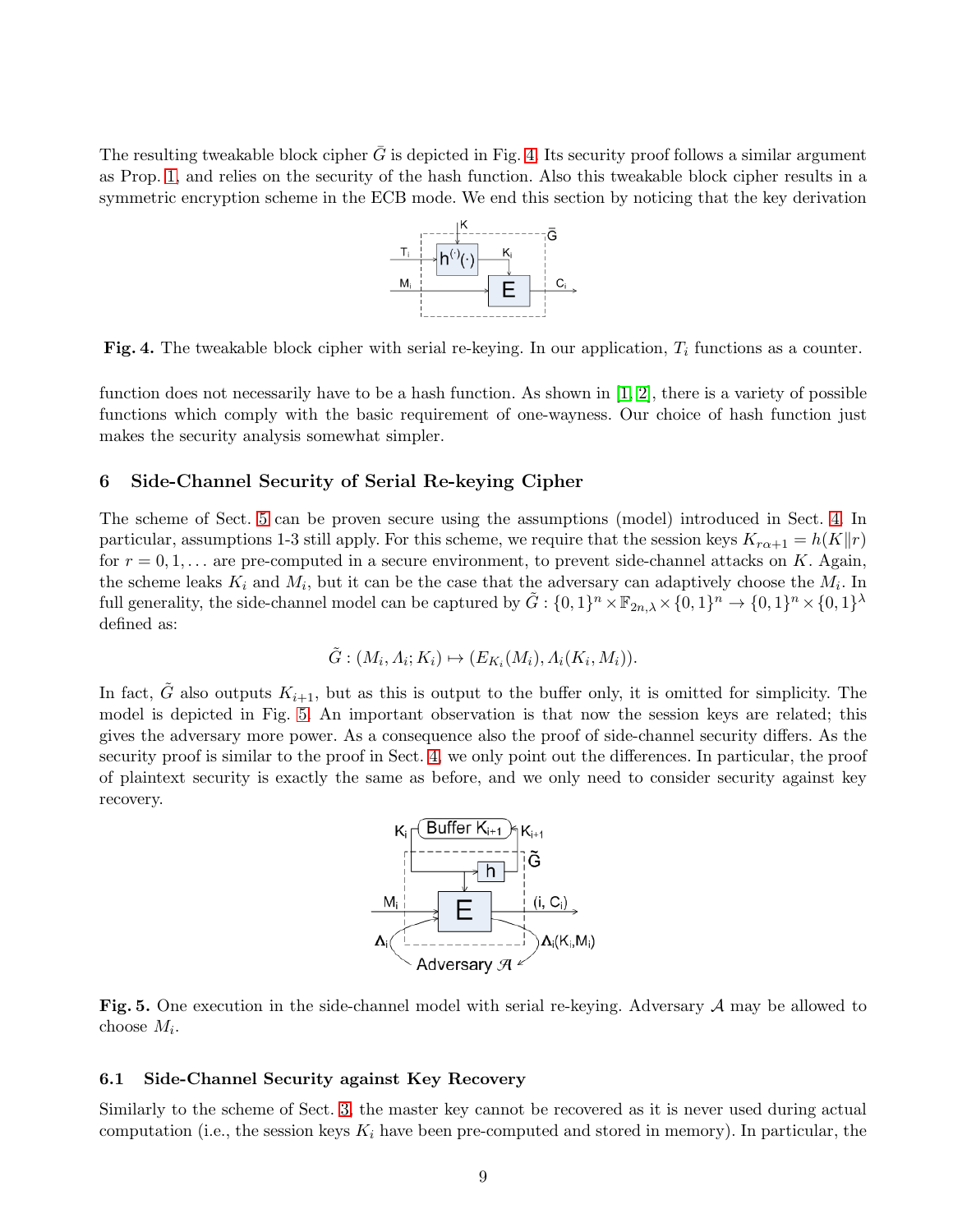The resulting tweakable block cipher  $G$  is depicted in Fig. [4.](#page-8-1) Its security proof follows a similar argument as Prop. [1,](#page-15-0) and relies on the security of the hash function. Also this tweakable block cipher results in a symmetric encryption scheme in the ECB mode. We end this section by noticing that the key derivation



<span id="page-8-1"></span>Fig. 4. The tweakable block cipher with serial re-keying. In our application,  $T_i$  functions as a counter.

function does not necessarily have to be a hash function. As shown in [\[1,](#page-13-0) [2\]](#page-13-1), there is a variety of possible functions which comply with the basic requirement of one-wayness. Our choice of hash function just makes the security analysis somewhat simpler.

### <span id="page-8-0"></span>6 Side-Channel Security of Serial Re-keying Cipher

The scheme of Sect. [5](#page-7-0) can be proven secure using the assumptions (model) introduced in Sect. [4.](#page-4-0) In particular, assumptions 1-3 still apply. For this scheme, we require that the session keys  $K_{r\alpha+1} = h(K||r)$ for  $r = 0, 1, \ldots$  are pre-computed in a secure environment, to prevent side-channel attacks on K. Again, the scheme leaks  $K_i$  and  $M_i$ , but it can be the case that the adversary can adaptively choose the  $M_i$ . In full generality, the side-channel model can be captured by  $\tilde{G}: \{0,1\}^n \times \mathbb{F}_{2n,\lambda} \times \{0,1\}^n \to \{0,1\}^n \times \{0,1\}^{\lambda}$ defined as:

$$
\tilde{G}:(M_i,\Lambda_i;K_i)\mapsto (E_{K_i}(M_i),\Lambda_i(K_i,M_i)).
$$

In fact,  $\tilde{G}$  also outputs  $K_{i+1}$ , but as this is output to the buffer only, it is omitted for simplicity. The model is depicted in Fig. [5.](#page-8-2) An important observation is that now the session keys are related; this gives the adversary more power. As a consequence also the proof of side-channel security differs. As the security proof is similar to the proof in Sect. [4,](#page-4-0) we only point out the differences. In particular, the proof of plaintext security is exactly the same as before, and we only need to consider security against key recovery.



<span id="page-8-2"></span>Fig. 5. One execution in the side-channel model with serial re-keying. Adversary A may be allowed to choose  $M_i$ .

#### 6.1 Side-Channel Security against Key Recovery

Similarly to the scheme of Sect. [3,](#page-3-0) the master key cannot be recovered as it is never used during actual computation (i.e., the session keys  $K_i$  have been pre-computed and stored in memory). In particular, the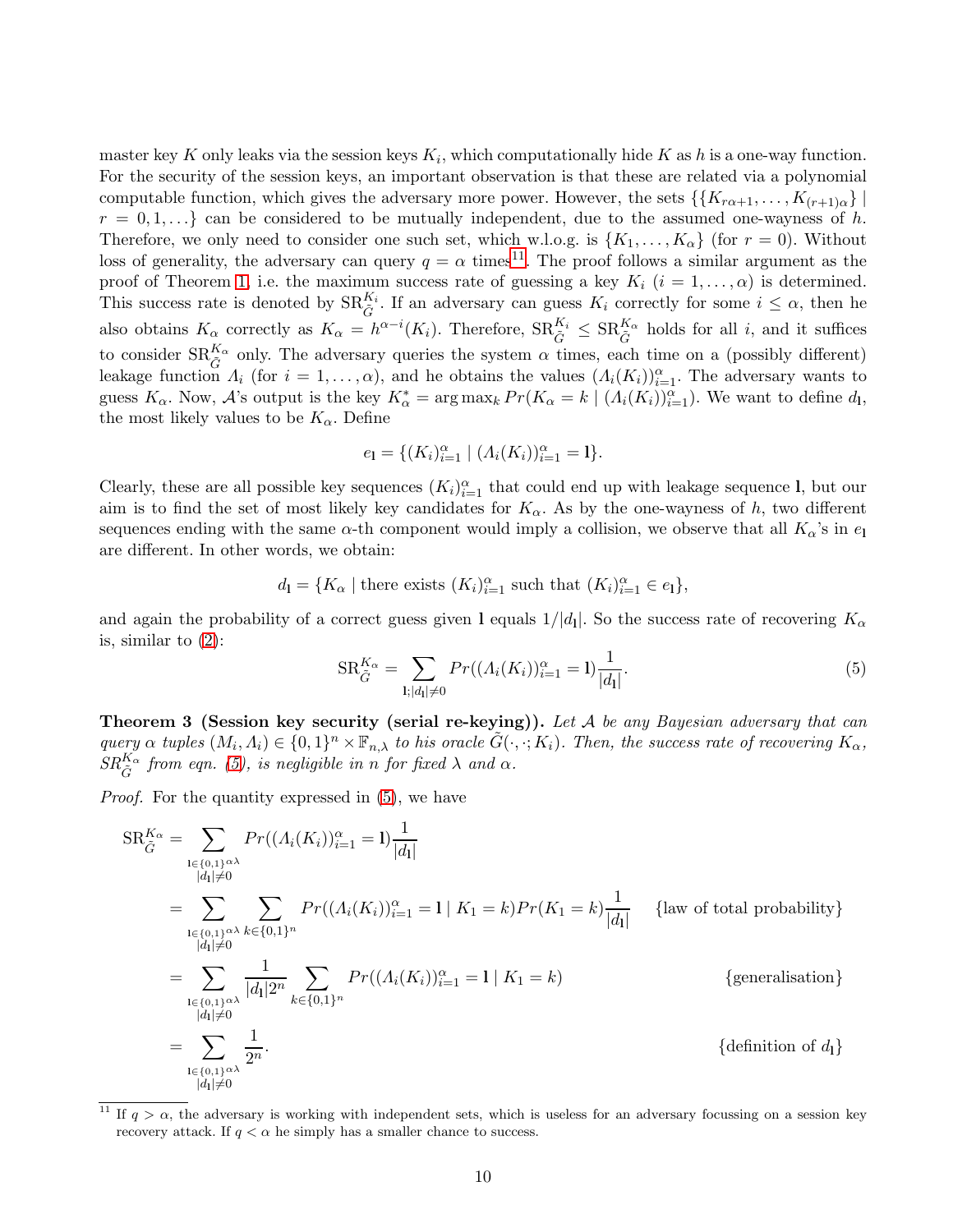master key K only leaks via the session keys  $K_i$ , which computationally hide K as h is a one-way function. For the security of the session keys, an important observation is that these are related via a polynomial computable function, which gives the adversary more power. However, the sets  $\{\{K_{r\alpha+1},\ldots,K_{(r+1)\alpha}\}\}$  $r = 0, 1, \ldots$  can be considered to be mutually independent, due to the assumed one-wayness of h. Therefore, we only need to consider one such set, which w.l.o.g. is  $\{K_1, \ldots, K_\alpha\}$  (for  $r = 0$ ). Without loss of generality, the adversary can query  $q = \alpha$  times<sup>[11](#page-9-0)</sup>. The proof follows a similar argument as the proof of Theorem [1,](#page-6-3) i.e. the maximum success rate of guessing a key  $K_i$   $(i = 1, ..., \alpha)$  is determined. This success rate is denoted by  $\text{SR}_{\tilde{G}}^{K_i}$ . If an adversary can guess  $K_i$  correctly for some  $i \leq \alpha$ , then he also obtains  $K_{\alpha}$  correctly as  $K_{\alpha} = h^{\alpha-i}(K_i)$ . Therefore,  $\text{SR}_{\tilde{G}}^{K_i} \leq \text{SR}_{\tilde{G}}^{K_{\alpha}}$  holds for all i, and it suffices to consider  $\text{SR}_{\tilde{G}}^{K_{\alpha}}$  only. The adversary queries the system  $\alpha$  times, each time on a (possibly different) leakage function  $\Lambda_i$  (for  $i = 1, \ldots, \alpha$ ), and he obtains the values  $(\Lambda_i(K_i))_{i=1}^{\alpha}$ . The adversary wants to guess  $K_{\alpha}$ . Now,  $\mathcal{A}$ 's output is the key  $K_{\alpha}^* = \arg \max_k Pr(K_{\alpha} = k \mid (A_i(K_i))_{i=1}^{\alpha})$ . We want to define  $d_1$ , the most likely values to be  $K_{\alpha}$ . Define

$$
e_1 = \{(K_i)_{i=1}^{\alpha} \mid (A_i(K_i))_{i=1}^{\alpha} = 1\}.
$$

Clearly, these are all possible key sequences  $(K_i)_{i=1}^{\alpha}$  that could end up with leakage sequence l, but our aim is to find the set of most likely key candidates for  $K_{\alpha}$ . As by the one-wayness of h, two different sequences ending with the same  $\alpha$ -th component would imply a collision, we observe that all  $K_{\alpha}$ 's in  $e_1$ are different. In other words, we obtain:

$$
d_{\mathbf{l}} = \{ K_{\alpha} \mid \text{there exists } (K_i)_{i=1}^{\alpha} \text{ such that } (K_i)_{i=1}^{\alpha} \in e_{\mathbf{l}} \},
$$

and again the probability of a correct guess given 1 equals  $1/|d_1|$ . So the success rate of recovering  $K_{\alpha}$ is, similar to [\(2\)](#page-6-2):

<span id="page-9-1"></span>
$$
SR_{\tilde{G}}^{K_{\alpha}} = \sum_{\mathbf{l}; |d_{\mathbf{l}}| \neq 0} Pr((\Lambda_i(K_i))_{i=1}^{\alpha} = \mathbf{l}) \frac{1}{|d_{\mathbf{l}}|}. \tag{5}
$$

Theorem 3 (Session key security (serial re-keying)). *Let* A *be any Bayesian adversary that can query*  $\alpha$  *tuples*  $(M_i, A_i) \in \{0, 1\}^n \times \mathbb{F}_{n, \lambda}$  *to his oracle*  $\tilde{G}(\cdot, \cdot; K_i)$ *. Then, the success rate of recovering*  $K_{\alpha}$ *,*  $SR_{\tilde{G}}^{K_{\alpha}}$  from eqn. [\(5\)](#page-9-1), is negligible in *n* for fixed  $\lambda$  and  $\alpha$ .

*Proof.* For the quantity expressed in  $(5)$ , we have

$$
SR_{\tilde{G}}^{K_{\alpha}} = \sum_{\substack{\mathbf{l} \in \{0,1\}^{\alpha\lambda} \\ |\mathbf{l}| \neq 0}} Pr((\Lambda_i(K_i))_{i=1}^{\alpha} = \mathbf{l}) \frac{1}{|d_1|}
$$
  
\n
$$
= \sum_{\substack{\mathbf{l} \in \{0,1\}^{\alpha\lambda} \\ |\mathbf{l}| \neq 0}} \sum_{\substack{k \in \{0,1\}^n \\ |\mathbf{l}| \neq 0}} Pr((\Lambda_i(K_i))_{i=1}^{\alpha} = \mathbf{l} | K_1 = k) Pr(K_1 = k) \frac{1}{|d_1|}
$$
 {law of total probability}  
\n
$$
= \sum_{\substack{\mathbf{l} \in \{0,1\}^{\alpha\lambda} \\ |\mathbf{l}| \neq 0}} \frac{1}{|d_1| 2^n} \sum_{k \in \{0,1\}^n} Pr((\Lambda_i(K_i))_{i=1}^{\alpha} = \mathbf{l} | K_1 = k)
$$
 {generalisation}  
\n
$$
= \sum_{\substack{\mathbf{l} \in \{0,1\}^{\alpha\lambda} \\ |\mathbf{l}| \neq 0}} \frac{1}{2^n}.
$$
 {definition of d<sub>1</sub>}

<span id="page-9-0"></span><sup>&</sup>lt;sup>11</sup> If  $q > \alpha$ , the adversary is working with independent sets, which is useless for an adversary focussing on a session key recovery attack. If  $q < \alpha$  he simply has a smaller chance to success.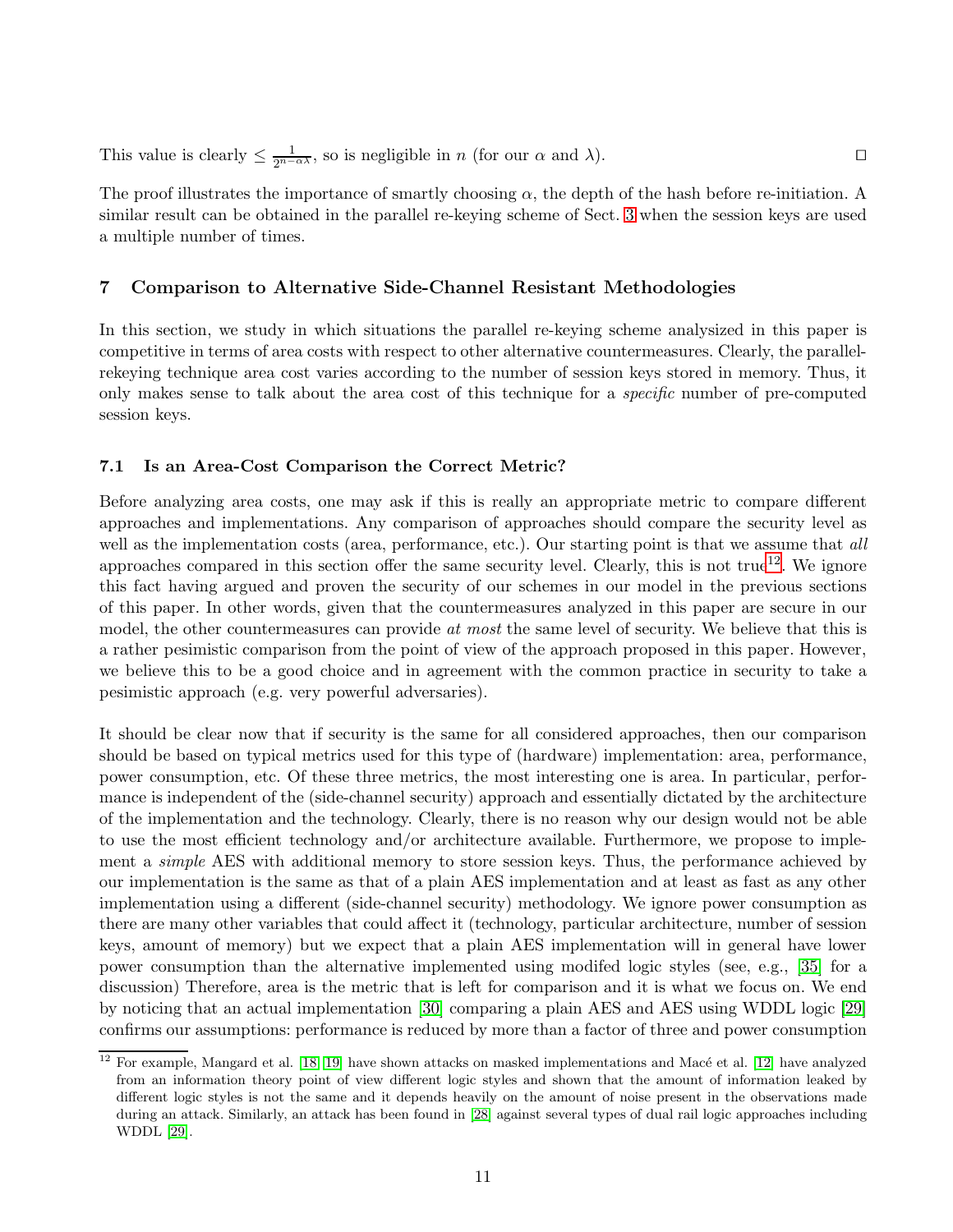This value is clearly  $\leq \frac{1}{2^{n-\alpha\lambda}}$ , so is negligible in *n* (for our  $\alpha$  and  $\lambda$ ). □

The proof illustrates the importance of smartly choosing  $\alpha$ , the depth of the hash before re-initiation. A similar result can be obtained in the parallel re-keying scheme of Sect. [3](#page-3-0) when the session keys are used a multiple number of times.

## <span id="page-10-0"></span>7 Comparison to Alternative Side-Channel Resistant Methodologies

In this section, we study in which situations the parallel re-keying scheme analysized in this paper is competitive in terms of area costs with respect to other alternative countermeasures. Clearly, the parallelrekeying technique area cost varies according to the number of session keys stored in memory. Thus, it only makes sense to talk about the area cost of this technique for a *specific* number of pre-computed session keys.

### 7.1 Is an Area-Cost Comparison the Correct Metric?

Before analyzing area costs, one may ask if this is really an appropriate metric to compare different approaches and implementations. Any comparison of approaches should compare the security level as well as the implementation costs (area, performance, etc.). Our starting point is that we assume that *all* approaches compared in this section offer the same security level. Clearly, this is not true<sup>[12](#page-10-1)</sup>. We ignore this fact having argued and proven the security of our schemes in our model in the previous sections of this paper. In other words, given that the countermeasures analyzed in this paper are secure in our model, the other countermeasures can provide *at most* the same level of security. We believe that this is a rather pesimistic comparison from the point of view of the approach proposed in this paper. However, we believe this to be a good choice and in agreement with the common practice in security to take a pesimistic approach (e.g. very powerful adversaries).

It should be clear now that if security is the same for all considered approaches, then our comparison should be based on typical metrics used for this type of (hardware) implementation: area, performance, power consumption, etc. Of these three metrics, the most interesting one is area. In particular, performance is independent of the (side-channel security) approach and essentially dictated by the architecture of the implementation and the technology. Clearly, there is no reason why our design would not be able to use the most efficient technology and/or architecture available. Furthermore, we propose to implement a *simple* AES with additional memory to store session keys. Thus, the performance achieved by our implementation is the same as that of a plain AES implementation and at least as fast as any other implementation using a different (side-channel security) methodology. We ignore power consumption as there are many other variables that could affect it (technology, particular architecture, number of session keys, amount of memory) but we expect that a plain AES implementation will in general have lower power consumption than the alternative implemented using modifed logic styles (see, e.g., [\[35\]](#page-14-8) for a discussion) Therefore, area is the metric that is left for comparison and it is what we focus on. We end by noticing that an actual implementation [\[30\]](#page-14-9) comparing a plain AES and AES using WDDL logic [\[29\]](#page-14-10) confirms our assumptions: performance is reduced by more than a factor of three and power consumption

<span id="page-10-1"></span> $\frac{12}{12}$  For example, Mangard et al. [\[18,](#page-13-17) [19\]](#page-13-18) have shown attacks on masked implementations and Macé et al. [\[12\]](#page-13-11) have analyzed from an information theory point of view different logic styles and shown that the amount of information leaked by different logic styles is not the same and it depends heavily on the amount of noise present in the observations made during an attack. Similarly, an attack has been found in [\[28\]](#page-14-11) against several types of dual rail logic approaches including WDDL [\[29\]](#page-14-10).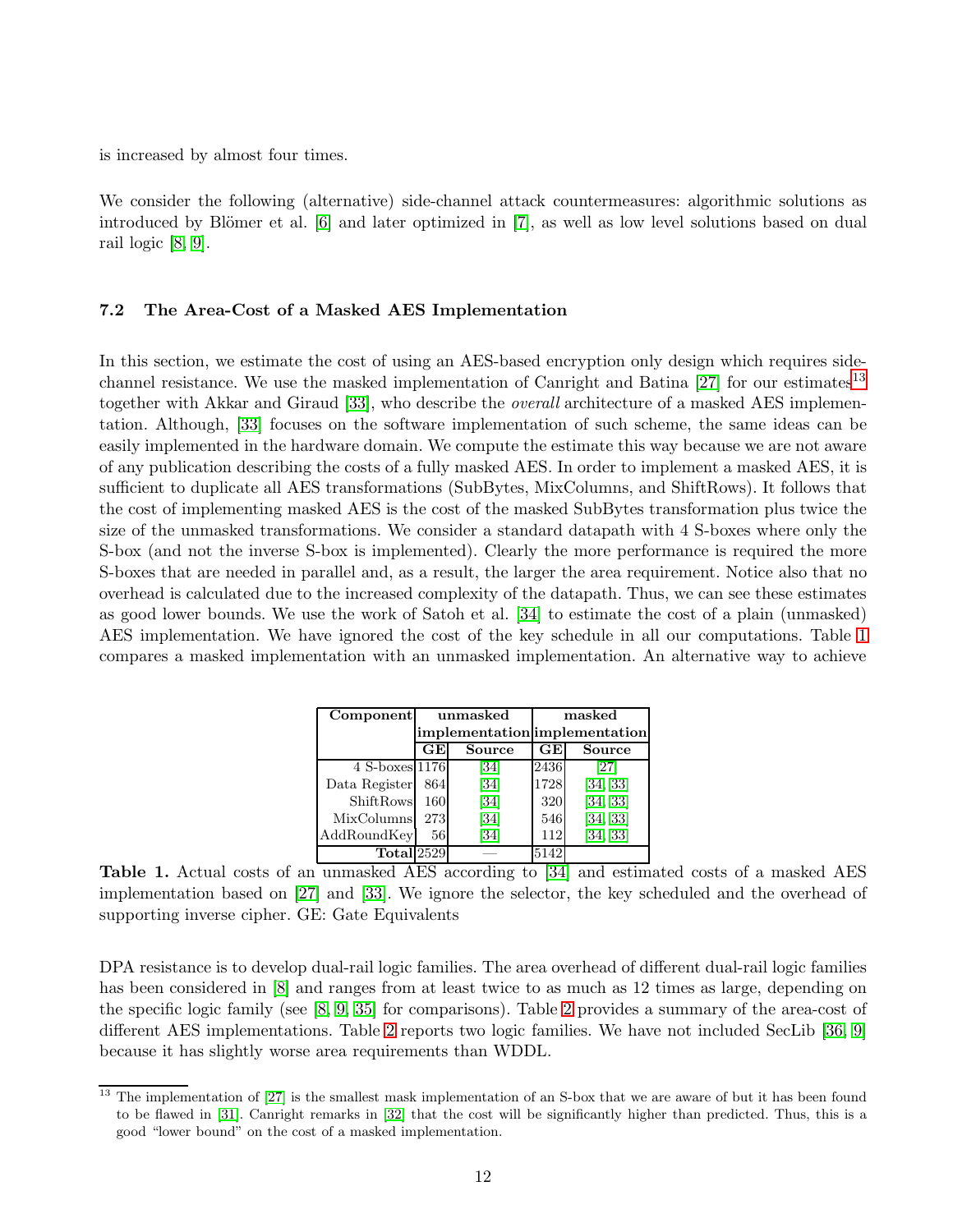is increased by almost four times.

We consider the following (alternative) side-channel attack countermeasures: algorithmic solutions as introduced by Blömer et al. [\[6\]](#page-13-5) and later optimized in [\[7\]](#page-13-6), as well as low level solutions based on dual rail logic [\[8,](#page-13-7) [9\]](#page-13-8).

## 7.2 The Area-Cost of a Masked AES Implementation

In this section, we estimate the cost of using an AES-based encryption only design which requires sidechannel resistance. We use the masked implementation of Canright and Batina  $[27]$  for our estimates<sup>[13](#page-11-0)</sup> together with Akkar and Giraud [\[33\]](#page-14-12), who describe the *overall* architecture of a masked AES implementation. Although, [\[33\]](#page-14-12) focuses on the software implementation of such scheme, the same ideas can be easily implemented in the hardware domain. We compute the estimate this way because we are not aware of any publication describing the costs of a fully masked AES. In order to implement a masked AES, it is sufficient to duplicate all AES transformations (SubBytes, MixColumns, and ShiftRows). It follows that the cost of implementing masked AES is the cost of the masked SubBytes transformation plus twice the size of the unmasked transformations. We consider a standard datapath with 4 S-boxes where only the S-box (and not the inverse S-box is implemented). Clearly the more performance is required the more S-boxes that are needed in parallel and, as a result, the larger the area requirement. Notice also that no overhead is calculated due to the increased complexity of the datapath. Thus, we can see these estimates as good lower bounds. We use the work of Satoh et al. [\[34\]](#page-14-13) to estimate the cost of a plain (unmasked) AES implementation. We have ignored the cost of the key schedule in all our computations. Table [1](#page-11-1) compares a masked implementation with an unmasked implementation. An alternative way to achieve

| Component             |                               | unmasked | masked |          |  |
|-----------------------|-------------------------------|----------|--------|----------|--|
|                       | implementation implementation |          |        |          |  |
|                       | GE                            | Source   | GE     | Source   |  |
| 4 S-boxes 1176        |                               | [34]     | 2436   | [27]     |  |
| Data Register         | 864                           | [34]     | 1728   | [34, 33] |  |
| ShiftRows             | 160                           | [34]     | 320    | [34, 33] |  |
| MixColumns            | 273                           | [34]     | 546    | [34, 33] |  |
| AddRoundKey           | 561                           | [34]     | 112    | [34, 33] |  |
| Total <sub>2529</sub> |                               |          | 5142   |          |  |

<span id="page-11-1"></span>Table 1. Actual costs of an unmasked AES according to [\[34\]](#page-14-13) and estimated costs of a masked AES implementation based on [\[27\]](#page-14-7) and [\[33\]](#page-14-12). We ignore the selector, the key scheduled and the overhead of supporting inverse cipher. GE: Gate Equivalents

DPA resistance is to develop dual-rail logic families. The area overhead of different dual-rail logic families has been considered in  $[8]$  and ranges from at least twice to as much as 12 times as large, depending on the specific logic family (see [\[8,](#page-13-7) [9,](#page-13-8) [35\]](#page-14-8) for comparisons). Table [2](#page-12-1) provides a summary of the area-cost of different AES implementations. Table [2](#page-12-1) reports two logic families. We have not included SecLib [\[36,](#page-14-14) [9\]](#page-13-8) because it has slightly worse area requirements than WDDL.

<span id="page-11-0"></span><sup>&</sup>lt;sup>13</sup> The implementation of [\[27\]](#page-14-7) is the smallest mask implementation of an S-box that we are aware of but it has been found to be flawed in [\[31\]](#page-14-15). Canright remarks in [\[32\]](#page-14-16) that the cost will be significantly higher than predicted. Thus, this is a good "lower bound" on the cost of a masked implementation.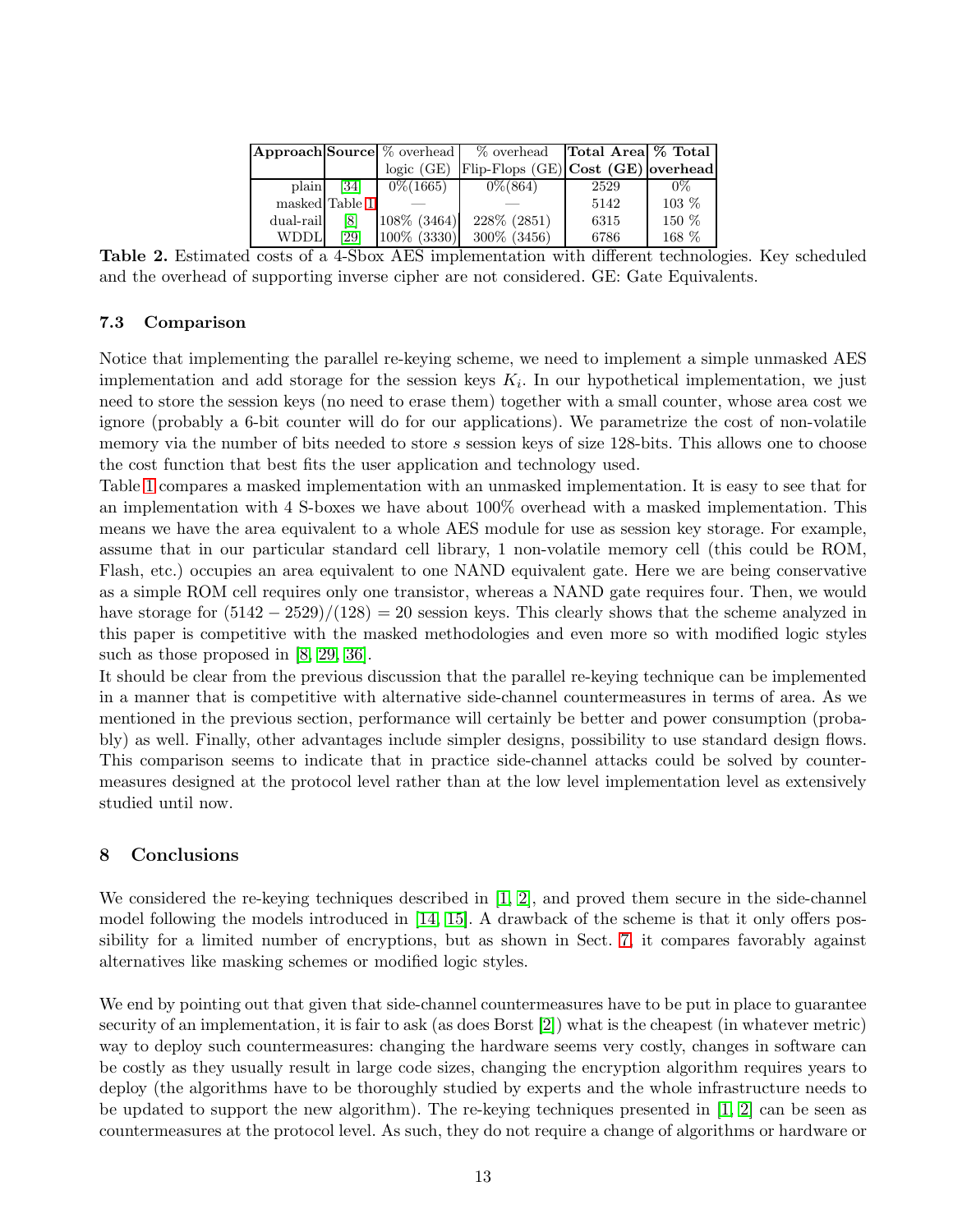|           |                   |              | <b>Approach Source</b> $\%$ overhead $\%$ overhead | Total Area % Total |       |
|-----------|-------------------|--------------|----------------------------------------------------|--------------------|-------|
|           |                   | logic (GE)   | Flip-Flops (GE) Cost (GE) overhead                 |                    |       |
| plain     | $\left[34\right]$ | $0\% (1665)$ | $0\% (864)$                                        | 2529               | $0\%$ |
|           | masked Table 1    |              |                                                    | 5142               | 103 % |
| dual-rail | [8]               | 108\% (3464) | 228\% (2851)                                       | 6315               | 150 % |
| WDDL      | [29]              | 100\% (3330) | 300\% (3456)                                       | 6786               | 168 % |

<span id="page-12-1"></span>Table 2. Estimated costs of a 4-Sbox AES implementation with different technologies. Key scheduled and the overhead of supporting inverse cipher are not considered. GE: Gate Equivalents.

## 7.3 Comparison

Notice that implementing the parallel re-keying scheme, we need to implement a simple unmasked AES implementation and add storage for the session keys  $K_i$ . In our hypothetical implementation, we just need to store the session keys (no need to erase them) together with a small counter, whose area cost we ignore (probably a 6-bit counter will do for our applications). We parametrize the cost of non-volatile memory via the number of bits needed to store  $s$  session keys of size 128-bits. This allows one to choose the cost function that best fits the user application and technology used.

Table [1](#page-11-1) compares a masked implementation with an unmasked implementation. It is easy to see that for an implementation with 4 S-boxes we have about 100% overhead with a masked implementation. This means we have the area equivalent to a whole AES module for use as session key storage. For example, assume that in our particular standard cell library, 1 non-volatile memory cell (this could be ROM, Flash, etc.) occupies an area equivalent to one NAND equivalent gate. Here we are being conservative as a simple ROM cell requires only one transistor, whereas a NAND gate requires four. Then, we would have storage for  $(5142 - 2529)/(128) = 20$  session keys. This clearly shows that the scheme analyzed in this paper is competitive with the masked methodologies and even more so with modified logic styles such as those proposed in  $[8, 29, 36]$  $[8, 29, 36]$  $[8, 29, 36]$ .

It should be clear from the previous discussion that the parallel re-keying technique can be implemented in a manner that is competitive with alternative side-channel countermeasures in terms of area. As we mentioned in the previous section, performance will certainly be better and power consumption (probably) as well. Finally, other advantages include simpler designs, possibility to use standard design flows. This comparison seems to indicate that in practice side-channel attacks could be solved by countermeasures designed at the protocol level rather than at the low level implementation level as extensively studied until now.

## <span id="page-12-0"></span>8 Conclusions

We considered the re-keying techniques described in [\[1,](#page-13-0) [2\]](#page-13-1), and proved them secure in the side-channel model following the models introduced in [\[14,](#page-13-13) [15\]](#page-13-14). A drawback of the scheme is that it only offers possibility for a limited number of encryptions, but as shown in Sect. [7,](#page-10-0) it compares favorably against alternatives like masking schemes or modified logic styles.

We end by pointing out that given that side-channel countermeasures have to be put in place to guarantee security of an implementation, it is fair to ask (as does Borst [\[2\]](#page-13-1)) what is the cheapest (in whatever metric) way to deploy such countermeasures: changing the hardware seems very costly, changes in software can be costly as they usually result in large code sizes, changing the encryption algorithm requires years to deploy (the algorithms have to be thoroughly studied by experts and the whole infrastructure needs to be updated to support the new algorithm). The re-keying techniques presented in  $[1, 2]$  $[1, 2]$  can be seen as countermeasures at the protocol level. As such, they do not require a change of algorithms or hardware or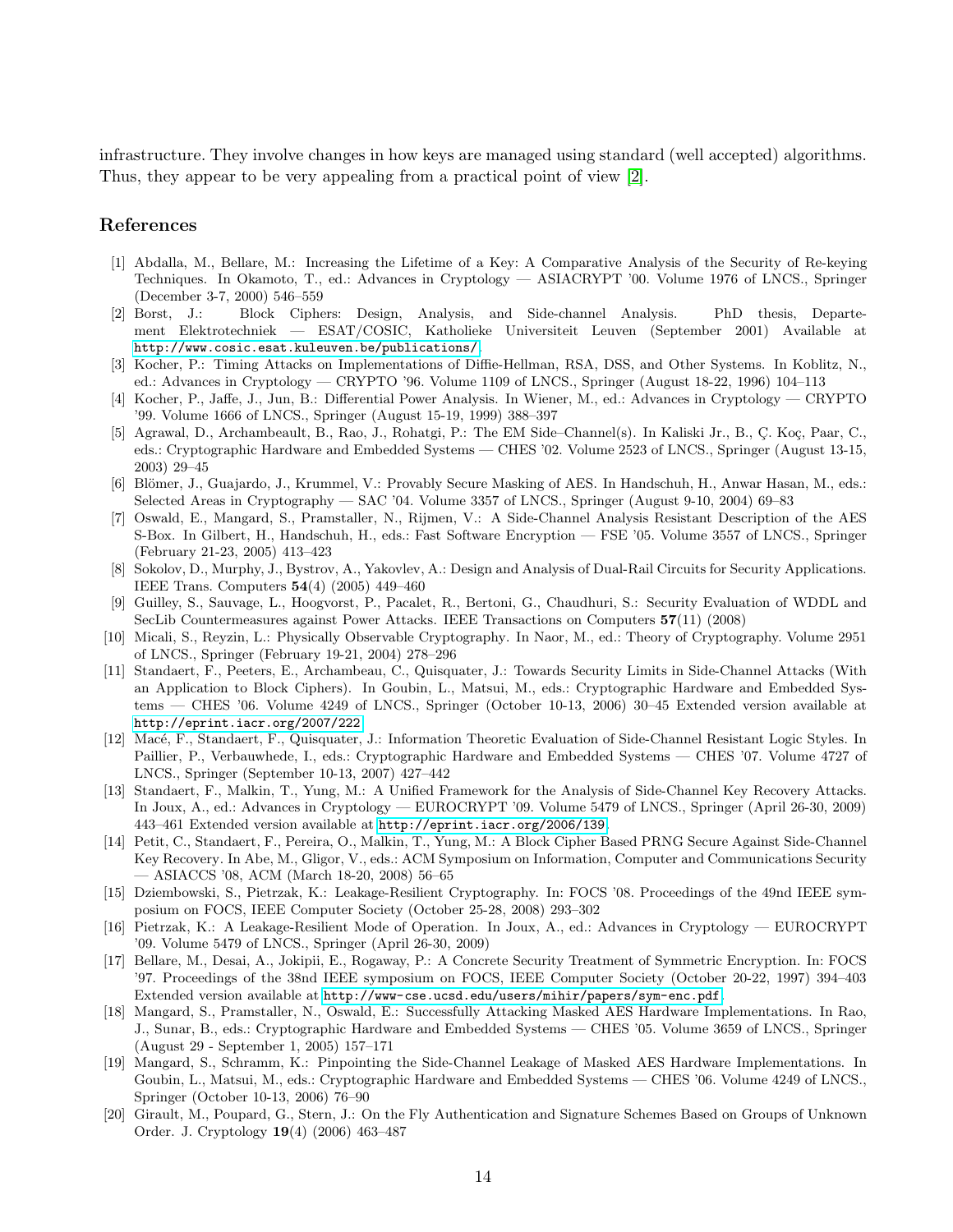infrastructure. They involve changes in how keys are managed using standard (well accepted) algorithms. Thus, they appear to be very appealing from a practical point of view [\[2\]](#page-13-1).

#### <span id="page-13-0"></span>References

- [1] Abdalla, M., Bellare, M.: Increasing the Lifetime of a Key: A Comparative Analysis of the Security of Re-keying Techniques. In Okamoto, T., ed.: Advances in Cryptology — ASIACRYPT '00. Volume 1976 of LNCS., Springer (December 3-7, 2000) 546–559
- <span id="page-13-1"></span>[2] Borst, J.: Block Ciphers: Design, Analysis, and Side-channel Analysis. PhD thesis, Departement Elektrotechniek — ESAT/COSIC, Katholieke Universiteit Leuven (September 2001) Available at <http://www.cosic.esat.kuleuven.be/publications/>.
- <span id="page-13-2"></span>[3] Kocher, P.: Timing Attacks on Implementations of Diffie-Hellman, RSA, DSS, and Other Systems. In Koblitz, N., ed.: Advances in Cryptology — CRYPTO '96. Volume 1109 of LNCS., Springer (August 18-22, 1996) 104–113
- <span id="page-13-3"></span>[4] Kocher, P., Jaffe, J., Jun, B.: Differential Power Analysis. In Wiener, M., ed.: Advances in Cryptology — CRYPTO '99. Volume 1666 of LNCS., Springer (August 15-19, 1999) 388–397
- <span id="page-13-4"></span>[5] Agrawal, D., Archambeault, B., Rao, J., Rohatgi, P.: The EM Side–Channel(s). In Kaliski Jr., B., C. Koç, Paar, C., eds.: Cryptographic Hardware and Embedded Systems — CHES '02. Volume 2523 of LNCS., Springer (August 13-15, 2003) 29–45
- <span id="page-13-5"></span>[6] Blömer, J., Guajardo, J., Krummel, V.: Provably Secure Masking of AES. In Handschuh, H., Anwar Hasan, M., eds.: Selected Areas in Cryptography — SAC '04. Volume 3357 of LNCS., Springer (August 9-10, 2004) 69–83
- <span id="page-13-6"></span>[7] Oswald, E., Mangard, S., Pramstaller, N., Rijmen, V.: A Side-Channel Analysis Resistant Description of the AES S-Box. In Gilbert, H., Handschuh, H., eds.: Fast Software Encryption — FSE '05. Volume 3557 of LNCS., Springer (February 21-23, 2005) 413–423
- <span id="page-13-7"></span>[8] Sokolov, D., Murphy, J., Bystrov, A., Yakovlev, A.: Design and Analysis of Dual-Rail Circuits for Security Applications. IEEE Trans. Computers 54(4) (2005) 449–460
- <span id="page-13-8"></span>[9] Guilley, S., Sauvage, L., Hoogvorst, P., Pacalet, R., Bertoni, G., Chaudhuri, S.: Security Evaluation of WDDL and SecLib Countermeasures against Power Attacks. IEEE Transactions on Computers 57(11) (2008)
- <span id="page-13-9"></span>[10] Micali, S., Reyzin, L.: Physically Observable Cryptography. In Naor, M., ed.: Theory of Cryptography. Volume 2951 of LNCS., Springer (February 19-21, 2004) 278–296
- <span id="page-13-10"></span>[11] Standaert, F., Peeters, E., Archambeau, C., Quisquater, J.: Towards Security Limits in Side-Channel Attacks (With an Application to Block Ciphers). In Goubin, L., Matsui, M., eds.: Cryptographic Hardware and Embedded Systems — CHES '06. Volume 4249 of LNCS., Springer (October 10-13, 2006) 30–45 Extended version available at <http://eprint.iacr.org/2007/222>.
- <span id="page-13-11"></span>[12] Macé, F., Standaert, F., Quisquater, J.: Information Theoretic Evaluation of Side-Channel Resistant Logic Styles. In Paillier, P., Verbauwhede, I., eds.: Cryptographic Hardware and Embedded Systems — CHES '07. Volume 4727 of LNCS., Springer (September 10-13, 2007) 427–442
- <span id="page-13-12"></span>[13] Standaert, F., Malkin, T., Yung, M.: A Unified Framework for the Analysis of Side-Channel Key Recovery Attacks. In Joux, A., ed.: Advances in Cryptology — EUROCRYPT '09. Volume 5479 of LNCS., Springer (April 26-30, 2009) 443–461 Extended version available at <http://eprint.iacr.org/2006/139>.
- <span id="page-13-13"></span>[14] Petit, C., Standaert, F., Pereira, O., Malkin, T., Yung, M.: A Block Cipher Based PRNG Secure Against Side-Channel Key Recovery. In Abe, M., Gligor, V., eds.: ACM Symposium on Information, Computer and Communications Security — ASIACCS '08, ACM (March 18-20, 2008) 56–65
- <span id="page-13-14"></span>[15] Dziembowski, S., Pietrzak, K.: Leakage-Resilient Cryptography. In: FOCS '08. Proceedings of the 49nd IEEE symposium on FOCS, IEEE Computer Society (October 25-28, 2008) 293–302
- <span id="page-13-15"></span>[16] Pietrzak, K.: A Leakage-Resilient Mode of Operation. In Joux, A., ed.: Advances in Cryptology — EUROCRYPT '09. Volume 5479 of LNCS., Springer (April 26-30, 2009)
- <span id="page-13-16"></span>[17] Bellare, M., Desai, A., Jokipii, E., Rogaway, P.: A Concrete Security Treatment of Symmetric Encryption. In: FOCS '97. Proceedings of the 38nd IEEE symposium on FOCS, IEEE Computer Society (October 20-22, 1997) 394–403 Extended version available at <http://www-cse.ucsd.edu/users/mihir/papers/sym-enc.pdf>.
- <span id="page-13-17"></span>[18] Mangard, S., Pramstaller, N., Oswald, E.: Successfully Attacking Masked AES Hardware Implementations. In Rao, J., Sunar, B., eds.: Cryptographic Hardware and Embedded Systems — CHES '05. Volume 3659 of LNCS., Springer (August 29 - September 1, 2005) 157–171
- <span id="page-13-18"></span>[19] Mangard, S., Schramm, K.: Pinpointing the Side-Channel Leakage of Masked AES Hardware Implementations. In Goubin, L., Matsui, M., eds.: Cryptographic Hardware and Embedded Systems — CHES '06. Volume 4249 of LNCS., Springer (October 10-13, 2006) 76–90
- <span id="page-13-19"></span>[20] Girault, M., Poupard, G., Stern, J.: On the Fly Authentication and Signature Schemes Based on Groups of Unknown Order. J. Cryptology 19(4) (2006) 463–487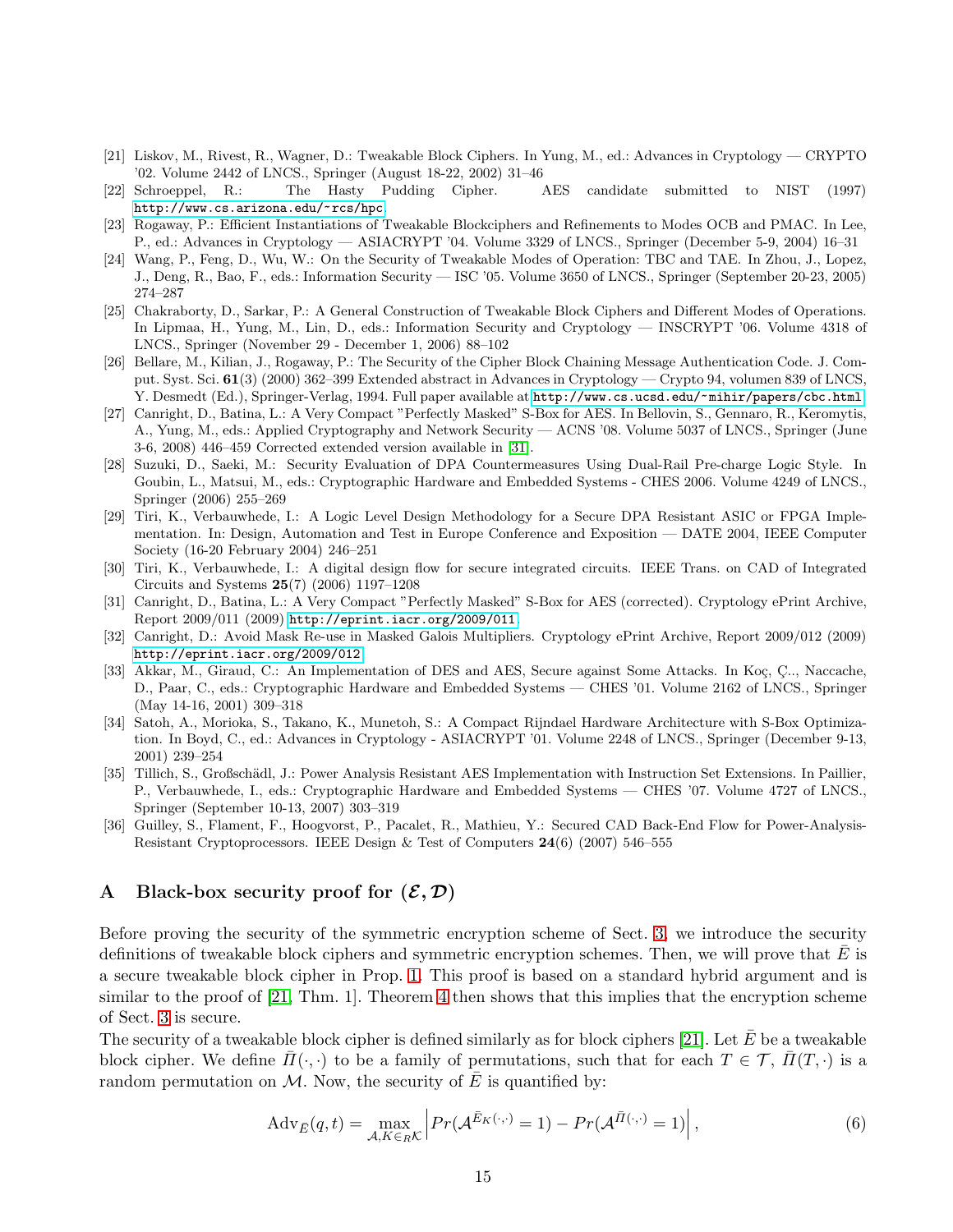- <span id="page-14-0"></span>[21] Liskov, M., Rivest, R., Wagner, D.: Tweakable Block Ciphers. In Yung, M., ed.: Advances in Cryptology — CRYPTO '02. Volume 2442 of LNCS., Springer (August 18-22, 2002) 31–46
- <span id="page-14-4"></span><span id="page-14-1"></span>[22] Schroeppel, R.: The Hasty Pudding Cipher. AES candidate submitted to NIST (1997) <http://www.cs.arizona.edu/~rcs/hpc>.
- <span id="page-14-2"></span>[23] Rogaway, P.: Efficient Instantiations of Tweakable Blockciphers and Refinements to Modes OCB and PMAC. In Lee, P., ed.: Advances in Cryptology — ASIACRYPT '04. Volume 3329 of LNCS., Springer (December 5-9, 2004) 16–31
- [24] Wang, P., Feng, D., Wu, W.: On the Security of Tweakable Modes of Operation: TBC and TAE. In Zhou, J., Lopez, J., Deng, R., Bao, F., eds.: Information Security — ISC '05. Volume 3650 of LNCS., Springer (September 20-23, 2005) 274–287
- <span id="page-14-3"></span>[25] Chakraborty, D., Sarkar, P.: A General Construction of Tweakable Block Ciphers and Different Modes of Operations. In Lipmaa, H., Yung, M., Lin, D., eds.: Information Security and Cryptology — INSCRYPT '06. Volume 4318 of LNCS., Springer (November 29 - December 1, 2006) 88–102
- <span id="page-14-5"></span>[26] Bellare, M., Kilian, J., Rogaway, P.: The Security of the Cipher Block Chaining Message Authentication Code. J. Comput. Syst. Sci. 61(3) (2000) 362–399 Extended abstract in Advances in Cryptology — Crypto 94, volumen 839 of LNCS, Y. Desmedt (Ed.), Springer-Verlag, 1994. Full paper available at <http://www.cs.ucsd.edu/~mihir/papers/cbc.html>.
- <span id="page-14-7"></span>[27] Canright, D., Batina, L.: A Very Compact "Perfectly Masked" S-Box for AES. In Bellovin, S., Gennaro, R., Keromytis, A., Yung, M., eds.: Applied Cryptography and Network Security — ACNS '08. Volume 5037 of LNCS., Springer (June 3-6, 2008) 446–459 Corrected extended version available in [\[31\]](#page-14-15).
- <span id="page-14-11"></span>[28] Suzuki, D., Saeki, M.: Security Evaluation of DPA Countermeasures Using Dual-Rail Pre-charge Logic Style. In Goubin, L., Matsui, M., eds.: Cryptographic Hardware and Embedded Systems - CHES 2006. Volume 4249 of LNCS., Springer (2006) 255–269
- <span id="page-14-10"></span>[29] Tiri, K., Verbauwhede, I.: A Logic Level Design Methodology for a Secure DPA Resistant ASIC or FPGA Implementation. In: Design, Automation and Test in Europe Conference and Exposition — DATE 2004, IEEE Computer Society (16-20 February 2004) 246–251
- <span id="page-14-9"></span>[30] Tiri, K., Verbauwhede, I.: A digital design flow for secure integrated circuits. IEEE Trans. on CAD of Integrated Circuits and Systems 25(7) (2006) 1197–1208
- <span id="page-14-15"></span>[31] Canright, D., Batina, L.: A Very Compact "Perfectly Masked" S-Box for AES (corrected). Cryptology ePrint Archive, Report 2009/011 (2009) <http://eprint.iacr.org/2009/011>.
- <span id="page-14-16"></span>[32] Canright, D.: Avoid Mask Re-use in Masked Galois Multipliers. Cryptology ePrint Archive, Report 2009/012 (2009) <http://eprint.iacr.org/2009/012>.
- <span id="page-14-12"></span>[33] Akkar, M., Giraud, C.: An Implementation of DES and AES, Secure against Some Attacks. In Koç, Ç., Naccache, D., Paar, C., eds.: Cryptographic Hardware and Embedded Systems — CHES '01. Volume 2162 of LNCS., Springer (May 14-16, 2001) 309–318
- <span id="page-14-13"></span>[34] Satoh, A., Morioka, S., Takano, K., Munetoh, S.: A Compact Rijndael Hardware Architecture with S-Box Optimization. In Boyd, C., ed.: Advances in Cryptology - ASIACRYPT '01. Volume 2248 of LNCS., Springer (December 9-13, 2001) 239–254
- <span id="page-14-8"></span>[35] Tillich, S., Großschädl, J.: Power Analysis Resistant AES Implementation with Instruction Set Extensions. In Paillier, P., Verbauwhede, I., eds.: Cryptographic Hardware and Embedded Systems — CHES '07. Volume 4727 of LNCS., Springer (September 10-13, 2007) 303–319
- <span id="page-14-14"></span>[36] Guilley, S., Flament, F., Hoogvorst, P., Pacalet, R., Mathieu, Y.: Secured CAD Back-End Flow for Power-Analysis-Resistant Cryptoprocessors. IEEE Design & Test of Computers 24(6) (2007) 546–555

## <span id="page-14-6"></span>A Black-box security proof for  $(\mathcal{E}, \mathcal{D})$

Before proving the security of the symmetric encryption scheme of Sect. [3,](#page-3-0) we introduce the security definitions of tweakable block ciphers and symmetric encryption schemes. Then, we will prove that  $E$  is a secure tweakable block cipher in Prop. [1.](#page-15-0) This proof is based on a standard hybrid argument and is similar to the proof of  $[21, Thm. 1]$ . Theorem [4](#page-16-0) then shows that this implies that the encryption scheme of Sect. [3](#page-3-0) is secure.

The security of a tweakable block cipher is defined similarly as for block ciphers [\[21\]](#page-14-0). Let  $\bar{E}$  be a tweakable block cipher. We define  $\bar{\Pi}(\cdot,\cdot)$  to be a family of permutations, such that for each  $T \in \mathcal{T}$ ,  $\bar{\Pi}(T,\cdot)$  is a random permutation on  $M$ . Now, the security of E is quantified by:

$$
Adv_{\bar{E}}(q,t) = \max_{\mathcal{A}, K \in_R \mathcal{K}} \left| Pr(\mathcal{A}^{\bar{E}_K(\cdot,\cdot)} = 1) - Pr(\mathcal{A}^{\bar{\Pi}(\cdot,\cdot)} = 1) \right|,
$$
\n(6)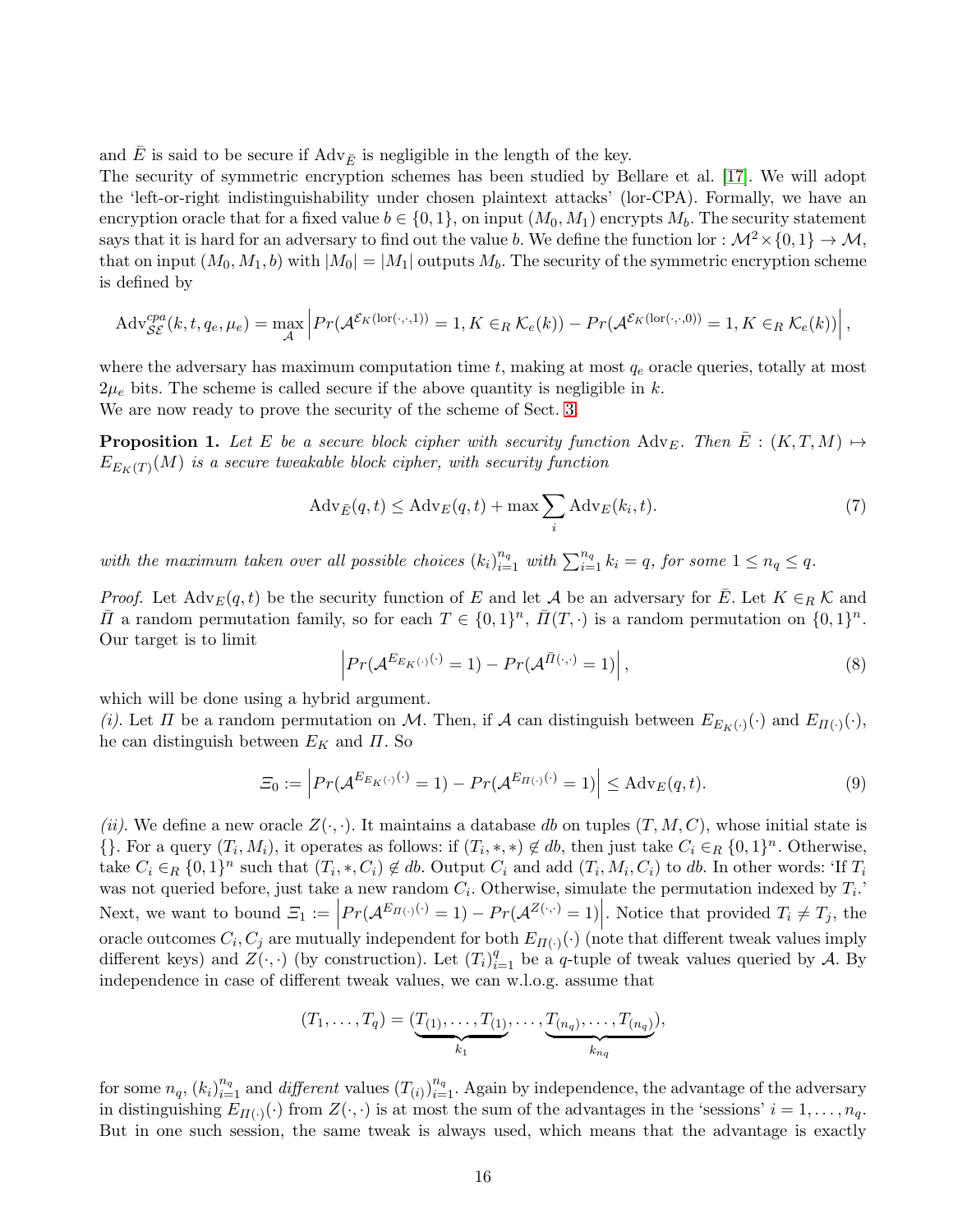and E is said to be secure if  $\text{Adv}_{\bar{E}}$  is negligible in the length of the key.

The security of symmetric encryption schemes has been studied by Bellare et al. [\[17\]](#page-13-16). We will adopt the 'left-or-right indistinguishability under chosen plaintext attacks' (lor-CPA). Formally, we have an encryption oracle that for a fixed value  $b \in \{0, 1\}$ , on input  $(M_0, M_1)$  encrypts  $M_b$ . The security statement says that it is hard for an adversary to find out the value b. We define the function lor :  $\mathcal{M}^2 \times \{0, 1\} \to \mathcal{M}$ , that on input  $(M_0, M_1, b)$  with  $|M_0| = |M_1|$  outputs  $M_b$ . The security of the symmetric encryption scheme is defined by

$$
Adv_{\mathcal{SE}}^{cpa}(k, t, q_e, \mu_e) = \max_{\mathcal{A}} \left| Pr(\mathcal{A}^{\mathcal{E}_K(\text{lor}(\cdot, \cdot, 1))} = 1, K \in_R \mathcal{K}_e(k)) - Pr(\mathcal{A}^{\mathcal{E}_K(\text{lor}(\cdot, \cdot, 0))} = 1, K \in_R \mathcal{K}_e(k)) \right|,
$$

where the adversary has maximum computation time  $t$ , making at most  $q_e$  oracle queries, totally at most  $2\mu_e$  bits. The scheme is called secure if the above quantity is negligible in k.

We are now ready to prove the security of the scheme of Sect. [3.](#page-3-0)

**Proposition 1.** Let E be a secure block cipher with security function  $\text{Adv}_{E}$ . Then  $\overline{E}$  :  $(K, T, M) \mapsto$  $E_{E_K(T)}(M)$  is a secure tweakable block cipher, with security function

<span id="page-15-3"></span><span id="page-15-0"></span>
$$
Adv_{\bar{E}}(q,t) \le Adv_E(q,t) + \max \sum_{i} Adv_E(k_i,t).
$$
\n(7)

with the maximum taken over all possible choices  $(k_i)_{i=1}^{n_q}$  with  $\sum_{i=1}^{n_q} k_i = q$ , for some  $1 \leq n_q \leq q$ .

*Proof.* Let  $\text{Adv}_E(q, t)$  be the security function of E and let A be an adversary for  $\overline{E}$ . Let  $K \in_R \mathcal{K}$  and  $\bar{\Pi}$  a random permutation family, so for each  $T \in \{0,1\}^n$ ,  $\bar{I}(T, \cdot)$  is a random permutation on  $\{0,1\}^n$ . Our target is to limit

<span id="page-15-1"></span>
$$
\left| Pr(\mathcal{A}^{E_{E_K(\cdot)}}^{(\cdot)} = 1) - Pr(\mathcal{A}^{\bar{\Pi}(\cdot,\cdot)} = 1) \right|,
$$
\n(8)

which will be done using a hybrid argument.

*(i)*. Let  $\Pi$  be a random permutation on M. Then, if  $\mathcal A$  can distinguish between  $E_{E_K(\cdot)}(\cdot)$  and  $E_{\Pi(\cdot)}(\cdot)$ , he can distinguish between  $E_K$  and  $\Pi$ . So

<span id="page-15-2"></span>
$$
\Xi_0 := \left| Pr(\mathcal{A}^{E_{E_K(\cdot)}(\cdot)} = 1) - Pr(\mathcal{A}^{E_{\Pi(\cdot)}(\cdot)} = 1) \right| \leq \mathrm{Adv}_E(q, t). \tag{9}
$$

*(ii)*. We define a new oracle  $Z(\cdot, \cdot)$ . It maintains a database db on tuples  $(T, M, C)$ , whose initial state is  $\{\}.$  For a query  $(T_i, M_i)$ , it operates as follows: if  $(T_i, *, *) \notin db$ , then just take  $C_i \in_R \{0, 1\}^n$ . Otherwise, take  $C_i \in_R \{0,1\}^n$  such that  $(T_i,*,C_i) \notin db$ . Output  $C_i$  and add  $(T_i,M_i,C_i)$  to  $db$ . In other words: 'If  $T_i$ was not queried before, just take a new random  $C_i$ . Otherwise, simulate the permutation indexed by  $T_i$ . Next, we want to bound  $\mathcal{Z}_1 := \left| Pr(\mathcal{A}^{E_{\Pi(\cdot)}(\cdot)} = 1) - Pr(\mathcal{A}^{Z(\cdot,\cdot)} = 1) \right|$ . Notice that provided  $T_i \neq T_j$ , the  $\overline{\phantom{a}}$ oracle outcomes  $C_i$ ,  $C_j$  are mutually independent for both  $E_{\Pi(\cdot)}(\cdot)$  (note that different tweak values imply different keys) and  $Z(\cdot, \cdot)$  (by construction). Let  $(T_i)_{i=1}^q$  be a q-tuple of tweak values queried by A. By independence in case of different tweak values, we can w.l.o.g. assume that

$$
(T_1,\ldots,T_q)=(\underbrace{T_{(1)},\ldots,T_{(1)}}_{k_1},\ldots,\underbrace{T_{(n_q)},\ldots,T_{(n_q)}}_{k_{n_q}}),
$$

for some  $n_q$ ,  $(k_i)_{i=1}^{n_q}$  and *different* values  $(T_{(i)})_{i=1}^{n_q}$ . Again by independence, the advantage of the adversary in distinguishing  $E_{\Pi(\cdot)}(\cdot)$  from  $Z(\cdot, \cdot)$  is at most the sum of the advantages in the 'sessions'  $i = 1, \ldots, n_q$ . But in one such session, the same tweak is always used, which means that the advantage is exactly